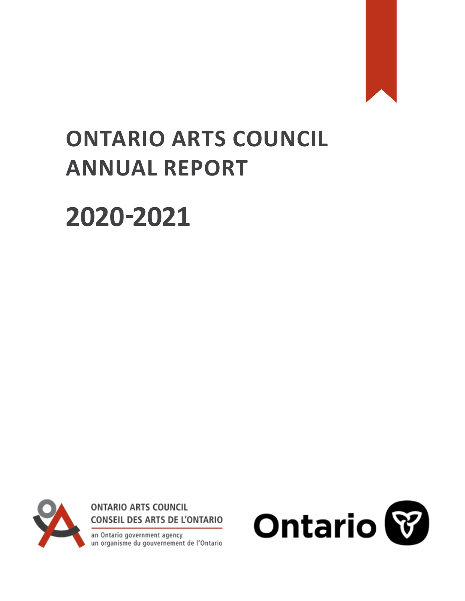

# **ONTARIO ARTS COUNCIL ANNUAL REPORT**

# **2020-2021**



**ONTARIO ARTS COUNCIL CONSEIL DES ARTS DE L'ONTARIO** 

an Ontario government agency un organisme du gouvernement de l'Ontario

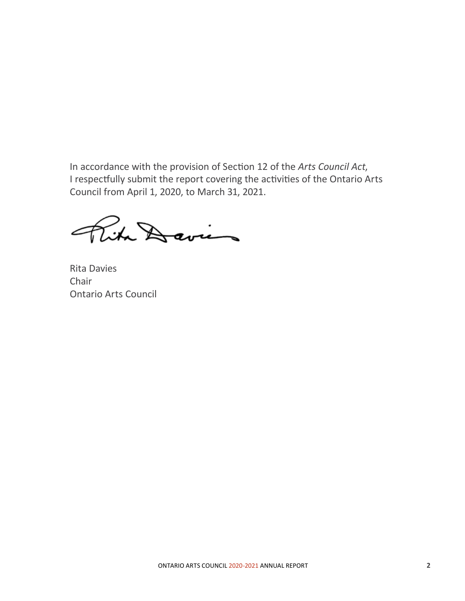In accordance with the provision of Section 12 of the *Arts Council Act*, I respectfully submit the report covering the activities of the Ontario Arts Council from April 1, 2020, to March 31, 2021.

Rita Davis

Rita Davies Chair Ontario Arts Council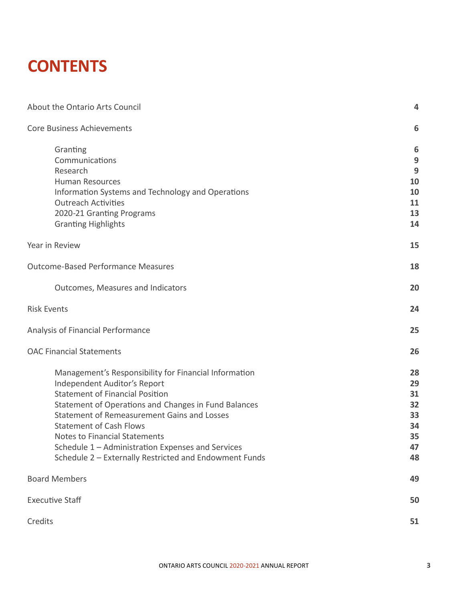# **CONTENTS**

| About the Ontario Arts Council                                                                                                                                                                                                                                                                                                                                                                                                  | 4                                                  |
|---------------------------------------------------------------------------------------------------------------------------------------------------------------------------------------------------------------------------------------------------------------------------------------------------------------------------------------------------------------------------------------------------------------------------------|----------------------------------------------------|
| <b>Core Business Achievements</b>                                                                                                                                                                                                                                                                                                                                                                                               | 6                                                  |
| Granting<br>Communications<br>Research<br><b>Human Resources</b><br>Information Systems and Technology and Operations<br><b>Outreach Activities</b><br>2020-21 Granting Programs<br><b>Granting Highlights</b>                                                                                                                                                                                                                  | 6<br>9<br>9<br>10<br>10<br>11<br>13<br>14          |
| Year in Review                                                                                                                                                                                                                                                                                                                                                                                                                  | 15                                                 |
| <b>Outcome-Based Performance Measures</b>                                                                                                                                                                                                                                                                                                                                                                                       | 18                                                 |
| Outcomes, Measures and Indicators                                                                                                                                                                                                                                                                                                                                                                                               | 20                                                 |
| <b>Risk Events</b>                                                                                                                                                                                                                                                                                                                                                                                                              | 24                                                 |
| Analysis of Financial Performance                                                                                                                                                                                                                                                                                                                                                                                               | 25                                                 |
| <b>OAC Financial Statements</b>                                                                                                                                                                                                                                                                                                                                                                                                 | 26                                                 |
| Management's Responsibility for Financial Information<br>Independent Auditor's Report<br><b>Statement of Financial Position</b><br>Statement of Operations and Changes in Fund Balances<br>Statement of Remeasurement Gains and Losses<br><b>Statement of Cash Flows</b><br><b>Notes to Financial Statements</b><br>Schedule 1 - Administration Expenses and Services<br>Schedule 2 - Externally Restricted and Endowment Funds | 28<br>29<br>31<br>32<br>33<br>34<br>35<br>47<br>48 |
| <b>Board Members</b>                                                                                                                                                                                                                                                                                                                                                                                                            | 49                                                 |
| <b>Executive Staff</b>                                                                                                                                                                                                                                                                                                                                                                                                          | 50                                                 |
| Credits                                                                                                                                                                                                                                                                                                                                                                                                                         | 51                                                 |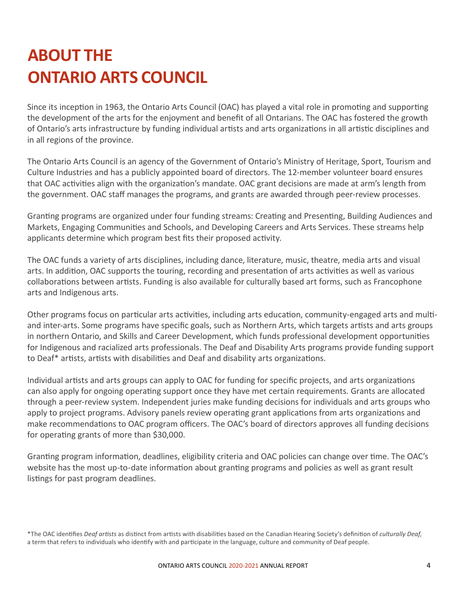# <span id="page-3-0"></span>**ABOUT THE ONTARIO ARTS COUNCIL**

Since its inception in 1963, the Ontario Arts Council (OAC) has played a vital role in promoting and supporting the development of the arts for the enjoyment and benefit of all Ontarians. The OAC has fostered the growth of Ontario's arts infrastructure by funding individual artists and arts organizations in all artistic disciplines and in all regions of the province.

The Ontario Arts Council is an agency of the Government of Ontario's Ministry of Heritage, Sport, Tourism and Culture Industries and has a publicly appointed board of directors. The 12-member volunteer board ensures that OAC activities align with the organization's mandate. OAC grant decisions are made at arm's length from the government. OAC staff manages the programs, and grants are awarded through peer-review processes.

Granting programs are organized under four funding streams: Creating and Presenting, Building Audiences and Markets, Engaging Communities and Schools, and Developing Careers and Arts Services. These streams help applicants determine which program best fits their proposed activity.

The OAC funds a variety of arts disciplines, including dance, literature, music, theatre, media arts and visual arts. In addition, OAC supports the touring, recording and presentation of arts activities as well as various collaborations between artists. Funding is also available for culturally based art forms, such as Francophone arts and Indigenous arts.

Other programs focus on particular arts activities, including arts education, community-engaged arts and multiand inter-arts. Some programs have specific goals, such as Northern Arts, which targets artists and arts groups in northern Ontario, and Skills and Career Development, which funds professional development opportunities for Indigenous and racialized arts professionals. The Deaf and Disability Arts programs provide funding support to Deaf\* artists, artists with disabilities and Deaf and disability arts organizations.

Individual artists and arts groups can apply to OAC for funding for specific projects, and arts organizations can also apply for ongoing operating support once they have met certain requirements. Grants are allocated through a peer-review system. Independent juries make funding decisions for individuals and arts groups who apply to project programs. Advisory panels review operating grant applications from arts organizations and make recommendations to OAC program officers. The OAC's board of directors approves all funding decisions for operating grants of more than \$30,000.

Granting program information, deadlines, eligibility criteria and OAC policies can change over time. The OAC's website has the most up-to-date information about granting programs and policies as well as grant result listings for past program deadlines.

<sup>\*</sup>The OAC identifies *Deaf artists* as distinct from artists with disabilities based on the Canadian Hearing Society's definition of *culturally Deaf*, a term that refers to individuals who identify with and participate in the language, culture and community of Deaf people.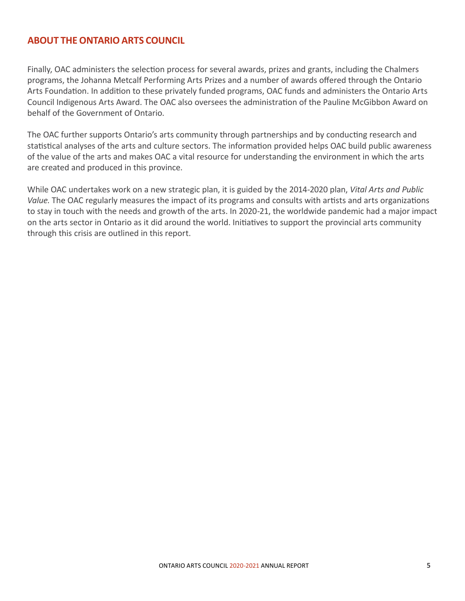#### **ABOUT THE ONTARIO ARTS COUNCIL**

Finally, OAC administers the selection process for several awards, prizes and grants, including the Chalmers programs, the Johanna Metcalf Performing Arts Prizes and a number of awards offered through the Ontario Arts Foundation. In addition to these privately funded programs, OAC funds and administers the Ontario Arts Council Indigenous Arts Award. The OAC also oversees the administration of the Pauline McGibbon Award on behalf of the Government of Ontario.

The OAC further supports Ontario's arts community through partnerships and by conducting research and statistical analyses of the arts and culture sectors. The information provided helps OAC build public awareness of the value of the arts and makes OAC a vital resource for understanding the environment in which the arts are created and produced in this province.

While OAC undertakes work on a new strategic plan, it is guided by the 2014-2020 plan, *Vital Arts and Public Value*. The OAC regularly measures the impact of its programs and consults with artists and arts organizations to stay in touch with the needs and growth of the arts. In 2020-21, the worldwide pandemic had a major impact on the arts sector in Ontario as it did around the world. Initiatives to support the provincial arts community through this crisis are outlined in this report.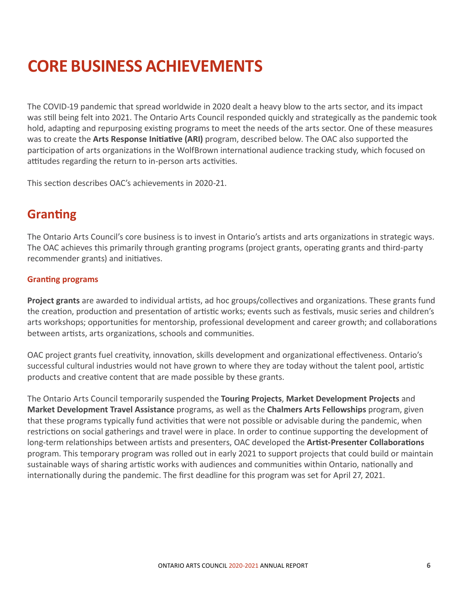<span id="page-5-0"></span>The COVID-19 pandemic that spread worldwide in 2020 dealt a heavy blow to the arts sector, and its impact was still being felt into 2021. The Ontario Arts Council responded quickly and strategically as the pandemic took hold, adapting and repurposing existing programs to meet the needs of the arts sector. One of these measures was to create the **Arts Response Initiative (ARI)** program, described below. The OAC also supported the participation of arts organizations in the WolfBrown international audience tracking study, which focused on attitudes regarding the return to in-person arts activities.

This section describes OAC's achievements in 2020-21.

## **Granting**

The Ontario Arts Council's core business is to invest in Ontario's artists and arts organizations in strategic ways. The OAC achieves this primarily through granting programs (project grants, operating grants and third-party recommender grants) and initiatives.

#### **Granting programs**

**Project grants** are awarded to individual artists, ad hoc groups/collectives and organizations. These grants fund the creation, production and presentation of artistic works; events such as festivals, music series and children's arts workshops; opportunities for mentorship, professional development and career growth; and collaborations between artists, arts organizations, schools and communities.

OAC project grants fuel creativity, innovation, skills development and organizational effectiveness. Ontario's successful cultural industries would not have grown to where they are today without the talent pool, artistic products and creative content that are made possible by these grants.

The Ontario Arts Council temporarily suspended the **Touring Projects**, **Market Development Projects** and **Market Development Travel Assistance** programs, as well as the **Chalmers Arts Fellowships** program, given that these programs typically fund activities that were not possible or advisable during the pandemic, when restrictions on social gatherings and travel were in place. In order to continue supporting the development of long-term relationships between artists and presenters, OAC developed the **Artist-Presenter Collaborations** program. This temporary program was rolled out in early 2021 to support projects that could build or maintain sustainable ways of sharing artistic works with audiences and communities within Ontario, nationally and internationally during the pandemic. The first deadline for this program was set for April 27, 2021.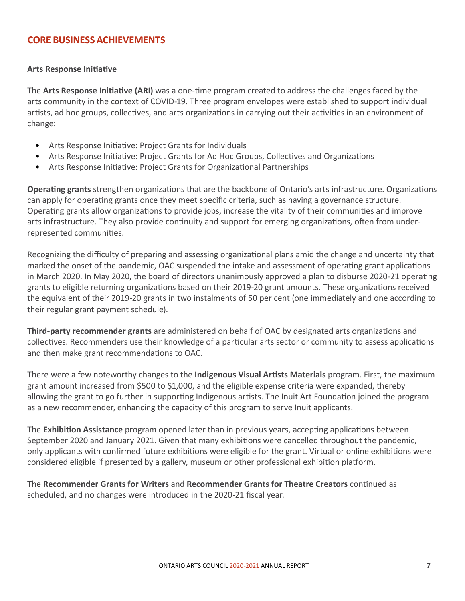#### **Arts Response Initiative**

The **Arts Response Initiative (ARI)** was a one-time program created to address the challenges faced by the arts community in the context of COVID-19. Three program envelopes were established to support individual artists, ad hoc groups, collectives, and arts organizations in carrying out their activities in an environment of change:

- Arts Response Initiative: Project Grants for Individuals
- Arts Response Initiative: Project Grants for Ad Hoc Groups, Collectives and Organizations
- Arts Response Initiative: Project Grants for Organizational Partnerships

**Operating grants** strengthen organizations that are the backbone of Ontario's arts infrastructure. Organizations can apply for operating grants once they meet specific criteria, such as having a governance structure. Operating grants allow organizations to provide jobs, increase the vitality of their communities and improve arts infrastructure. They also provide continuity and support for emerging organizations, often from underrepresented communities.

Recognizing the difficulty of preparing and assessing organizational plans amid the change and uncertainty that marked the onset of the pandemic, OAC suspended the intake and assessment of operating grant applications in March 2020. In May 2020, the board of directors unanimously approved a plan to disburse 2020-21 operating grants to eligible returning organizations based on their 2019-20 grant amounts. These organizations received the equivalent of their 2019-20 grants in two instalments of 50 per cent (one immediately and one according to their regular grant payment schedule).

**Third-party recommender grants** are administered on behalf of OAC by designated arts organizations and collectives. Recommenders use their knowledge of a particular arts sector or community to assess applications and then make grant recommendations to OAC.

There were a few noteworthy changes to the **Indigenous Visual Artists Materials** program. First, the maximum grant amount increased from \$500 to \$1,000, and the eligible expense criteria were expanded, thereby allowing the grant to go further in supporting Indigenous artists. The Inuit Art Foundation joined the program as a new recommender, enhancing the capacity of this program to serve Inuit applicants.

The **Exhibition Assistance** program opened later than in previous years, accepting applications between September 2020 and January 2021. Given that many exhibitions were cancelled throughout the pandemic, only applicants with confirmed future exhibitions were eligible for the grant. Virtual or online exhibitions were considered eligible if presented by a gallery, museum or other professional exhibition platform.

The **Recommender Grants for Writers** and **Recommender Grants for Theatre Creators** continued as scheduled, and no changes were introduced in the 2020-21 fiscal year.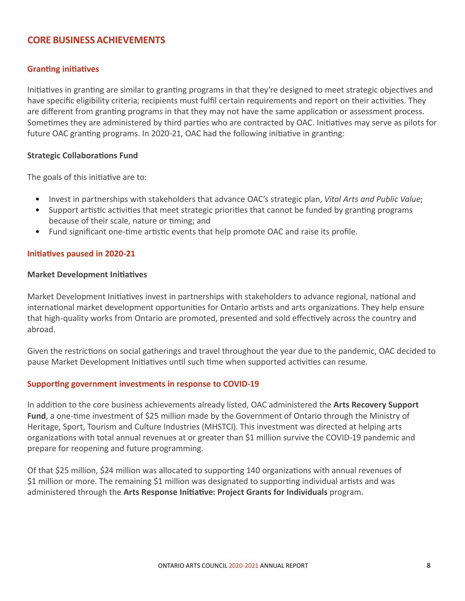#### **Granting initiatives**

Initiatives in granting are similar to granting programs in that they're designed to meet strategic objectives and have specific eligibility criteria; recipients must fulfil certain requirements and report on their activities. They are different from granting programs in that they may not have the same application or assessment process. Sometimes they are administered by third parties who are contracted by OAC. Initiatives may serve as pilots for future OAC granting programs. In 2020-21, OAC had the following initiative in granting:

#### **Strategic Collaborations Fund**

The goals of this initiative are to:

- Invest in partnerships with stakeholders that advance OAC's strategic plan, *Vital Arts and Public Value*;
- Support artistic activities that meet strategic priorities that cannot be funded by granting programs because of their scale, nature or timing; and
- Fund significant one-time artistic events that help promote OAC and raise its profile.

#### **Initiatives paused in 2020-21**

#### **Market Development Initiatives**

Market Development Initiatives invest in partnerships with stakeholders to advance regional, national and international market development opportunities for Ontario artists and arts organizations. They help ensure that high-quality works from Ontario are promoted, presented and sold effectively across the country and abroad.

Given the restrictions on social gatherings and travel throughout the year due to the pandemic, OAC decided to pause Market Development Initiatives until such time when supported activities can resume.

#### **Supporting government investments in response to COVID-19**

In addition to the core business achievements already listed, OAC administered the **Arts Recovery Support Fund**, a one-time investment of \$25 million made by the Government of Ontario through the Ministry of Heritage, Sport, Tourism and Culture Industries (MHSTCI). This investment was directed at helping arts organizations with total annual revenues at or greater than \$1 million survive the COVID-19 pandemic and prepare for reopening and future programming.

Of that \$25 million, \$24 million was allocated to supporting 140 organizations with annual revenues of \$1 million or more. The remaining \$1 million was designated to supporting individual artists and was administered through the **Arts Response Initiative: Project Grants for Individuals** program.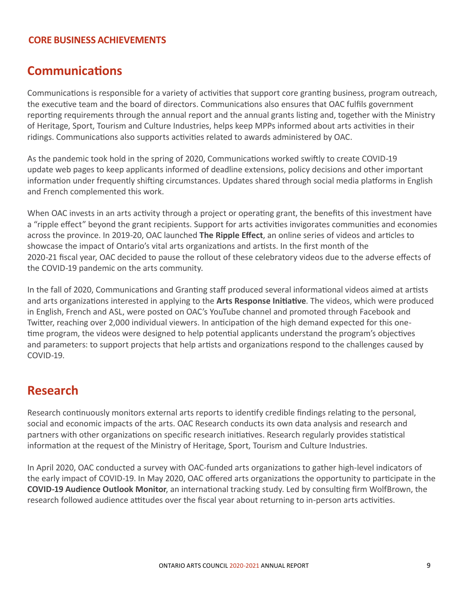### <span id="page-8-0"></span>**Communications**

Communications is responsible for a variety of activities that support core granting business, program outreach, the executive team and the board of directors. Communications also ensures that OAC fulfils government reporting requirements through the annual report and the annual grants listing and, together with the Ministry of Heritage, Sport, Tourism and Culture Industries, helps keep MPPs informed about arts activities in their ridings. Communications also supports activities related to awards administered by OAC.

As the pandemic took hold in the spring of 2020, Communications worked swiftly to create COVID-19 update web pages to keep applicants informed of deadline extensions, policy decisions and other important information under frequently shifting circumstances. Updates shared through social media platforms in English and French complemented this work.

When OAC invests in an arts activity through a project or operating grant, the benefits of this investment have a "ripple effect" beyond the grant recipients. Support for arts activities invigorates communities and economies across the province. In 2019-20, OAC launched **The Ripple Effect**, an online series of videos and articles to showcase the impact of Ontario's vital arts organizations and artists. In the first month of the 2020-21 fiscal year, OAC decided to pause the rollout of these celebratory videos due to the adverse effects of the COVID-19 pandemic on the arts community.

In the fall of 2020, Communications and Granting staff produced several informational videos aimed at artists and arts organizations interested in applying to the **Arts Response Initiative**. The videos, which were produced in English, French and ASL, were posted on OAC's YouTube channel and promoted through Facebook and Twitter, reaching over 2,000 individual viewers. In anticipation of the high demand expected for this onetime program, the videos were designed to help potential applicants understand the program's objectives and parameters: to support projects that help artists and organizations respond to the challenges caused by COVID-19.

### **Research**

Research continuously monitors external arts reports to identify credible findings relating to the personal, social and economic impacts of the arts. OAC Research conducts its own data analysis and research and partners with other organizations on specific research initiatives. Research regularly provides statistical information at the request of the Ministry of Heritage, Sport, Tourism and Culture Industries.

In April 2020, OAC conducted a survey with OAC-funded arts organizations to gather high-level indicators of the early impact of COVID-19. In May 2020, OAC offered arts organizations the opportunity to participate in the **COVID-19 Audience Outlook Monitor**, an international tracking study. Led by consulting firm WolfBrown, the research followed audience attitudes over the fiscal year about returning to in-person arts activities.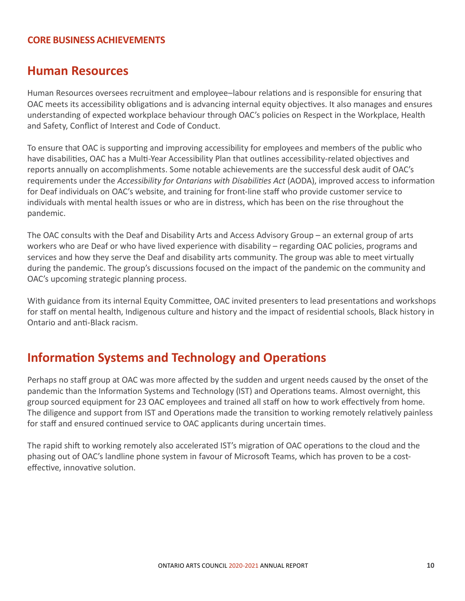### <span id="page-9-0"></span>**Human Resources**

Human Resources oversees recruitment and employee–labour relations and is responsible for ensuring that OAC meets its accessibility obligations and is advancing internal equity objectives. It also manages and ensures understanding of expected workplace behaviour through OAC's policies on Respect in the Workplace, Health and Safety, Conflict of Interest and Code of Conduct.

To ensure that OAC is supporting and improving accessibility for employees and members of the public who have disabilities, OAC has a Multi-Year Accessibility Plan that outlines accessibility-related objectives and reports annually on accomplishments. Some notable achievements are the successful desk audit of OAC's requirements under the *Accessibility for Ontarians with Disabilities Act* (AODA), improved access to information for Deaf individuals on OAC's website, and training for front-line staff who provide customer service to individuals with mental health issues or who are in distress, which has been on the rise throughout the pandemic.

The OAC consults with the Deaf and Disability Arts and Access Advisory Group – an external group of arts workers who are Deaf or who have lived experience with disability – regarding OAC policies, programs and services and how they serve the Deaf and disability arts community. The group was able to meet virtually during the pandemic. The group's discussions focused on the impact of the pandemic on the community and OAC's upcoming strategic planning process.

With guidance from its internal Equity Committee, OAC invited presenters to lead presentations and workshops for staff on mental health, Indigenous culture and history and the impact of residential schools, Black history in Ontario and anti-Black racism.

## **Information Systems and Technology and Operations**

Perhaps no staff group at OAC was more affected by the sudden and urgent needs caused by the onset of the pandemic than the Information Systems and Technology (IST) and Operations teams. Almost overnight, this group sourced equipment for 23 OAC employees and trained all staff on how to work effectively from home. The diligence and support from IST and Operations made the transition to working remotely relatively painless for staff and ensured continued service to OAC applicants during uncertain times.

The rapid shift to working remotely also accelerated IST's migration of OAC operations to the cloud and the phasing out of OAC's landline phone system in favour of Microsoft Teams, which has proven to be a costeffective, innovative solution.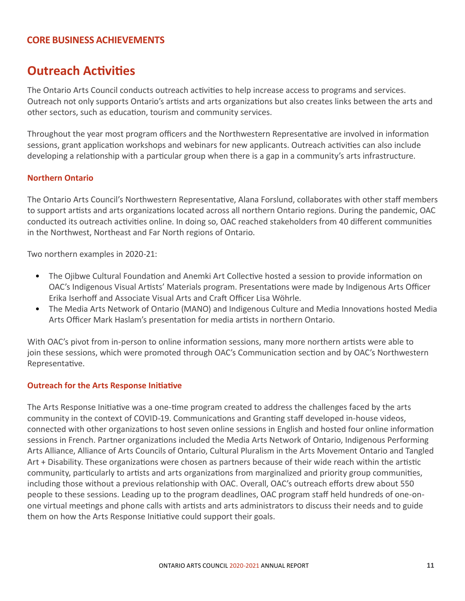### <span id="page-10-0"></span>**Outreach Activities**

The Ontario Arts Council conducts outreach activities to help increase access to programs and services. Outreach not only supports Ontario's artists and arts organizations but also creates links between the arts and other sectors, such as education, tourism and community services.

Throughout the year most program officers and the Northwestern Representative are involved in information sessions, grant application workshops and webinars for new applicants. Outreach activities can also include developing a relationship with a particular group when there is a gap in a community's arts infrastructure.

#### **Northern Ontario**

The Ontario Arts Council's Northwestern Representative, Alana Forslund, collaborates with other staff members to support artists and arts organizations located across all northern Ontario regions. During the pandemic, OAC conducted its outreach activities online. In doing so, OAC reached stakeholders from 40 different communities in the Northwest, Northeast and Far North regions of Ontario.

Two northern examples in 2020-21:

- The Ojibwe Cultural Foundation and Anemki Art Collective hosted a session to provide information on OAC's Indigenous Visual Artists' Materials program. Presentations were made by Indigenous Arts Officer Erika Iserhoff and Associate Visual Arts and Craft Officer Lisa Wöhrle.
- The Media Arts Network of Ontario (MANO) and Indigenous Culture and Media Innovations hosted Media Arts Officer Mark Haslam's presentation for media artists in northern Ontario.

With OAC's pivot from in-person to online information sessions, many more northern artists were able to join these sessions, which were promoted through OAC's Communication section and by OAC's Northwestern Representative.

#### **Outreach for the Arts Response Initiative**

The Arts Response Initiative was a one-time program created to address the challenges faced by the arts community in the context of COVID-19. Communications and Granting staff developed in-house videos, connected with other organizations to host seven online sessions in English and hosted four online information sessions in French. Partner organizations included the Media Arts Network of Ontario, Indigenous Performing Arts Alliance, Alliance of Arts Councils of Ontario, Cultural Pluralism in the Arts Movement Ontario and Tangled Art + Disability. These organizations were chosen as partners because of their wide reach within the artistic community, particularly to artists and arts organizations from marginalized and priority group communities, including those without a previous relationship with OAC. Overall, OAC's outreach efforts drew about 550 people to these sessions. Leading up to the program deadlines, OAC program staff held hundreds of one-onone virtual meetings and phone calls with artists and arts administrators to discuss their needs and to guide them on how the Arts Response Initiative could support their goals.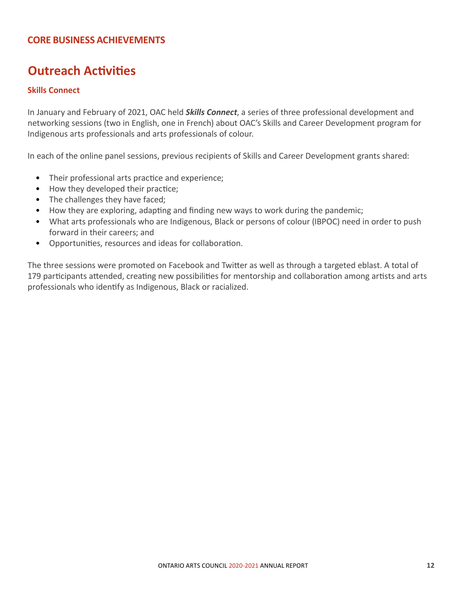## **Outreach Activities**

#### **Skills Connect**

In January and February of 2021, OAC held *Skills Connect*, a series of three professional development and networking sessions (two in English, one in French) about OAC's Skills and Career Development program for Indigenous arts professionals and arts professionals of colour.

In each of the online panel sessions, previous recipients of Skills and Career Development grants shared: 

- Their professional arts practice and experience;
- How they developed their practice;
- The challenges they have faced;
- How they are exploring, adapting and finding new ways to work during the pandemic;
- What arts professionals who are Indigenous, Black or persons of colour (IBPOC) need in order to push forward in their careers; and
- Opportunities, resources and ideas for collaboration.

The three sessions were promoted on Facebook and Twitter as well as through a targeted eblast. A total of 179 participants attended, creating new possibilities for mentorship and collaboration among artists and arts professionals who identify as Indigenous, Black or racialized.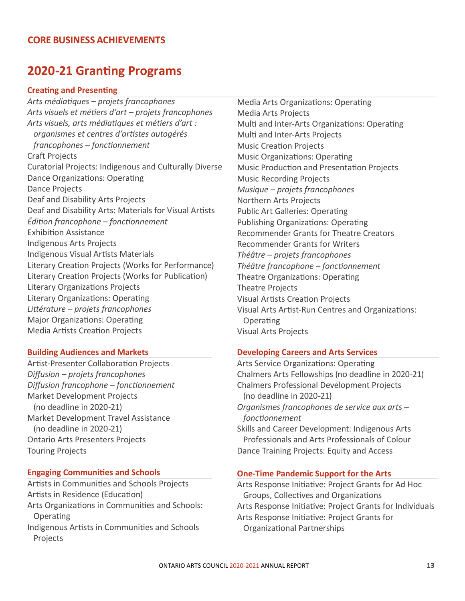## <span id="page-12-0"></span>**2020-21 Granting Programs**

#### **Creating and Presenting**

*Arts médiatiques – projets francophones Arts visuels et métiers d'art – projets francophones Arts visuels, arts médiatiques et métiers d'art : organismes et centres d'artistes autogérés francophones – fonctionnement*  Craft Projects Curatorial Projects: Indigenous and Culturally Diverse Dance Organizations: Operating Dance Projects Deaf and Disability Arts Projects Deaf and Disability Arts: Materials for Visual Artists *Édition francophone – fonctionnement*  Exhibition Assistance Indigenous Arts Projects Indigenous Visual Artists Materials Literary Creation Projects (Works for Performance) Literary Creation Projects (Works for Publication) Literary Organizations Projects Literary Organizations: Operating *Littérature – projets francophones*  Major Organizations: Operating Media Artists Creation Projects

#### **Building Audiences and Markets**

Artist-Presenter Collaboration Projects *Diffusion – projets francophones Diffusion francophone – fonctionnement*  Market Development Projects (no deadline in 2020-21) Market Development Travel Assistance (no deadline in 2020-21) Ontario Arts Presenters Projects Touring Projects

#### **Engaging Communities and Schools**

Artists in Communities and Schools Projects Artists in Residence (Education) Arts Organizations in Communities and Schools: Operating

Indigenous Artists in Communities and Schools Projects

Media Arts Organizations: Operating Media Arts Projects Multi and Inter-Arts Organizations: Operating Multi and Inter-Arts Projects Music Creation Projects Music Organizations: Operating Music Production and Presentation Projects Music Recording Projects *Musique – projets francophones*  Northern Arts Projects Public Art Galleries: Operating Publishing Organizations: Operating Recommender Grants for Theatre Creators Recommender Grants for Writers *Théâtre – projets francophones Théâtre francophone – fonctionnement*  Theatre Organizations: Operating Theatre Projects Visual Artists Creation Projects Visual Arts Artist-Run Centres and Organizations: Operating Visual Arts Projects

#### **Developing Careers and Arts Services**

Arts Service Organizations: Operating Chalmers Arts Fellowships (no deadline in 2020-21) Chalmers Professional Development Projects (no deadline in 2020-21) *Organismes francophones de service aux arts – fonctionnement*  Skills and Career Development: Indigenous Arts Professionals and Arts Professionals of Colour

Dance Training Projects: Equity and Access

#### **One-Time Pandemic Support for the Arts**

Arts Response Initiative: Project Grants for Ad Hoc Groups, Collectives and Organizations Arts Response Initiative: Project Grants for Individuals Arts Response Initiative: Project Grants for Organizational Partnerships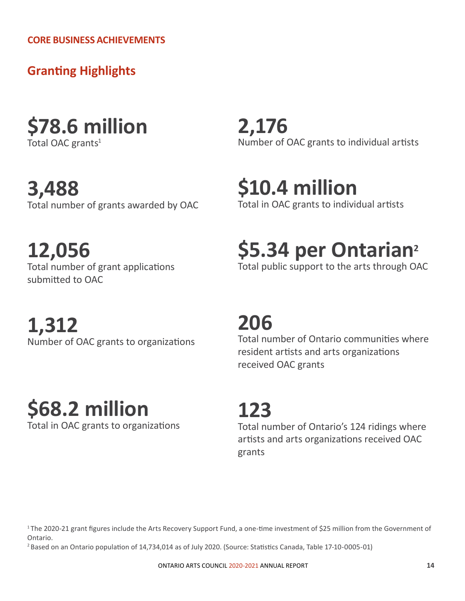<span id="page-13-0"></span>**Granting Highlights**

# **\$78.6 million**

Total OAC grants<sup>1</sup>

**3,488** Total number of grants awarded by OAC

**12,056** Total number of grant applications submitted to OAC

**2,176** Number of OAC grants to individual artists

# **\$10.4 million**

Total in OAC grants to individual artists

# **\$5.34 per Ontarian<sup>2</sup>**

Total public support to the arts through OAC

**1,312** Number of OAC grants to organizations

# **206**

Total number of Ontario communities where resident artists and arts organizations received OAC grants

# **\$68.2 million**

Total in OAC grants to organizations

# **123**

Total number of Ontario's 124 ridings where artists and arts organizations received OAC grants

<sup>1</sup>The 2020-21 grant figures include the Arts Recovery Support Fund, a one-time investment of \$25 million from the Government of Ontario.

<sup>2</sup> Based on an Ontario population of 14,734,014 as of July 2020. (Source: Statistics Canada, Table 17-10-0005-01)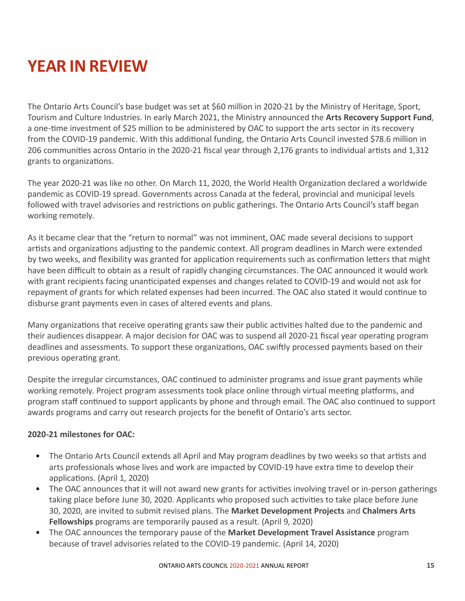# <span id="page-14-0"></span>**YEAR INREVIEW**

The Ontario Arts Council's base budget was set at \$60 million in 2020-21 by the Ministry of Heritage, Sport, Tourism and Culture Industries. In early March 2021, the Ministry announced the **Arts Recovery Support Fund**, a one-time investment of \$25 million to be administered by OAC to support the arts sector in its recovery from the COVID-19 pandemic. With this additional funding, the Ontario Arts Council invested \$78.6 million in 206 communities across Ontario in the 2020-21 fiscal year through 2,176 grants to individual artists and 1,312 grants to organizations.

The year 2020-21 was like no other. On March 11, 2020, the World Health Organization declared a worldwide pandemic as COVID-19 spread. Governments across Canada at the federal, provincial and municipal levels followed with travel advisories and restrictions on public gatherings. The Ontario Arts Council's staff began working remotely.

As it became clear that the "return to normal" was not imminent, OAC made several decisions to support artists and organizations adjusting to the pandemic context. All program deadlines in March were extended by two weeks, and flexibility was granted for application requirements such as confirmation letters that might have been difficult to obtain as a result of rapidly changing circumstances. The OAC announced it would work with grant recipients facing unanticipated expenses and changes related to COVID-19 and would not ask for repayment of grants for which related expenses had been incurred. The OAC also stated it would continue to disburse grant payments even in cases of altered events and plans.

Many organizations that receive operating grants saw their public activities halted due to the pandemic and their audiences disappear. A major decision for OAC was to suspend all 2020-21 fiscal year operating program deadlines and assessments. To support these organizations, OAC swiftly processed payments based on their previous operating grant.

Despite the irregular circumstances, OAC continued to administer programs and issue grant payments while working remotely. Project program assessments took place online through virtual meeting platforms, and program staff continued to support applicants by phone and through email. The OAC also continued to support awards programs and carry out research projects for the benefit of Ontario's arts sector.

#### **2020-21 milestones for OAC:**

- The Ontario Arts Council extends all April and May program deadlines by two weeks so that artists and arts professionals whose lives and work are impacted by COVID-19 have extra time to develop their applications. (April 1, 2020)
- The OAC announces that it will not award new grants for activities involving travel or in-person gatherings taking place before June 30, 2020. Applicants who proposed such activities to take place before June 30, 2020, are invited to submit revised plans. The **Market Development Projects** and **Chalmers Arts Fellowships** programs are temporarily paused as a result. (April 9, 2020)
- The OAC announces the temporary pause of the **Market Development Travel Assistance** program because of travel advisories related to the COVID-19 pandemic. (April 14, 2020)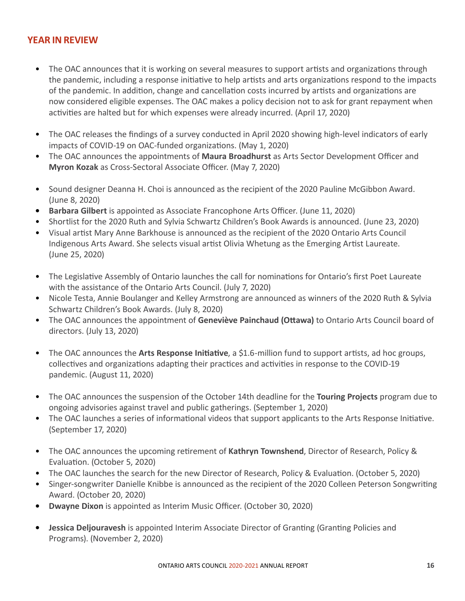#### **YEAR IN REVIEW**

- The OAC announces that it is working on several measures to support artists and organizations through the pandemic, including a response initiative to help artists and arts organizations respond to the impacts of the pandemic. In addition, change and cancellation costs incurred by artists and organizations are now considered eligible expenses. The OAC makes a policy decision not to ask for grant repayment when activities are halted but for which expenses were already incurred. (April 17, 2020)
- The OAC releases the findings of a survey conducted in April 2020 showing high-level indicators of early impacts of COVID-19 on OAC-funded organizations. (May 1, 2020)
- The OAC announces the appointments of **Maura Broadhurst** as Arts Sector Development Officer and **Myron Kozak** as Cross-Sectoral Associate Officer. (May 7, 2020)
- Sound designer Deanna H. Choi is announced as the recipient of the 2020 Pauline McGibbon Award. (June 8, 2020)
- **Barbara Gilbert** is appointed as Associate Francophone Arts Officer. (June 11, 2020)
- Shortlist for the 2020 Ruth and Sylvia Schwartz Children's Book Awards is announced. (June 23, 2020)
- Visual artist Mary Anne Barkhouse is announced as the recipient of the 2020 Ontario Arts Council Indigenous Arts Award. She selects visual artist Olivia Whetung as the Emerging Artist Laureate. (June 25, 2020)
- The Legislative Assembly of Ontario launches the call for nominations for Ontario's first Poet Laureate with the assistance of the Ontario Arts Council. (July 7, 2020)
- Nicole Testa, Annie Boulanger and Kelley Armstrong are announced as winners of the 2020 Ruth & Sylvia Schwartz Children's Book Awards. (July 8, 2020)
- The OAC announces the appointment of **Geneviève Painchaud (Ottawa)** to Ontario Arts Council board of directors. (July 13, 2020)
- The OAC announces the **Arts Response Initiative**, a \$1.6-million fund to support artists, ad hoc groups, collectives and organizations adapting their practices and activities in response to the COVID-19 pandemic. (August 11, 2020)
- The OAC announces the suspension of the October 14th deadline for the **Touring Projects** program due to ongoing advisories against travel and public gatherings. (September 1, 2020)
- The OAC launches a series of informational videos that support applicants to the Arts Response Initiative. (September 17, 2020)
- The OAC announces the upcoming retirement of **Kathryn Townshend**, Director of Research, Policy & Evaluation. (October 5, 2020)
- The OAC launches the search for the new Director of Research, Policy & Evaluation. (October 5, 2020)
- Singer-songwriter Danielle Knibbe is announced as the recipient of the 2020 Colleen Peterson Songwriting Award. (October 20, 2020)
- **Dwayne Dixon** is appointed as Interim Music Officer. (October 30, 2020)
- **Jessica Deljouravesh** is appointed Interim Associate Director of Granting (Granting Policies and Programs). (November 2, 2020)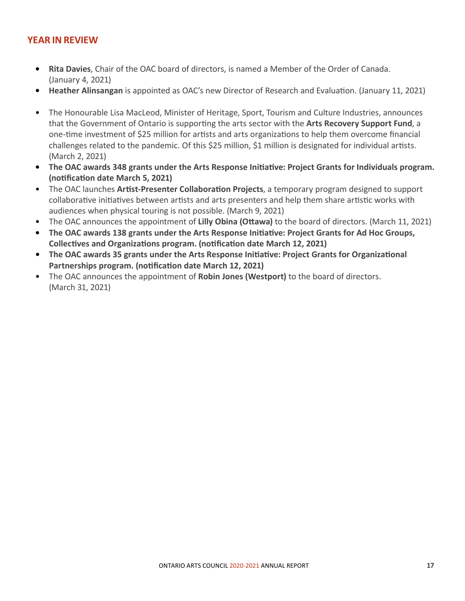#### **YEAR IN REVIEW**

- **Rita Davies**, Chair of the OAC board of directors, is named a Member of the Order of Canada. (January 4, 2021)
- **Heather Alinsangan** is appointed as OAC's new Director of Research and Evaluation. (January 11, 2021)
- The Honourable Lisa MacLeod, Minister of Heritage, Sport, Tourism and Culture Industries, announces that the Government of Ontario is supporting the arts sector with the **Arts Recovery Support Fund**, a one-time investment of \$25 million for artists and arts organizations to help them overcome financial challenges related to the pandemic. Of this \$25 million, \$1 million is designated for individual artists. (March 2, 2021)
- **The OAC awards 348 grants under the Arts Response Initiative: Project Grants for Individuals program. (notification date March 5, 2021)**
- The OAC launches **Artist-Presenter Collaboration Projects**, a temporary program designed to support collaborative initiatives between artists and arts presenters and help them share artistic works with audiences when physical touring is not possible. (March 9, 2021)
- The OAC announces the appointment of **Lilly Obina (Ottawa)** to the board of directors. (March 11, 2021)
- **The OAC awards 138 grants under the Arts Response Initiative: Project Grants for Ad Hoc Groups, Collectives and Organizations program. (notification date March 12, 2021)**
- **The OAC awards 35 grants under the Arts Response Initiative: Project Grants for Organizational Partnerships program. (notification date March 12, 2021)**
- The OAC announces the appointment of **Robin Jones (Westport)** to the board of directors. (March 31, 2021)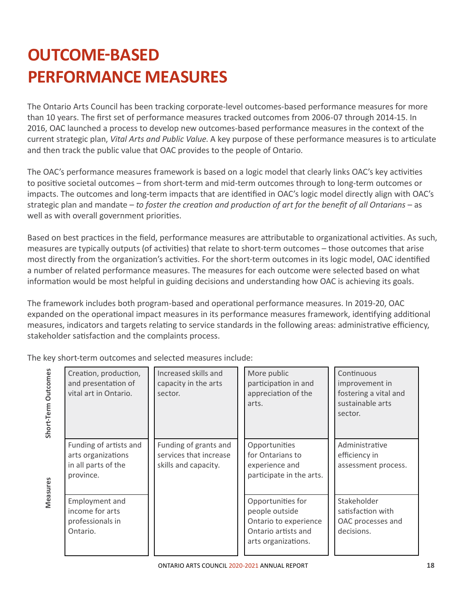# <span id="page-17-0"></span>**OUTCOME-BASED PERFORMANCE MEASURES**

The Ontario Arts Council has been tracking corporate-level outcomes-based performance measures for more than 10 years. The first set of performance measures tracked outcomes from 2006-07 through 2014-15. In 2016, OAC launched a process to develop new outcomes-based performance measures in the context of the current strategic plan, *Vital Arts and Public Value*. A key purpose of these performance measures is to articulate and then track the public value that OAC provides to the people of Ontario.  

The OAC's performance measures framework is based on a logic model that clearly links OAC's key activities to positive societal outcomes – from short-term and mid-term outcomes through to long-term outcomes or impacts. The outcomes and long-term impacts that are identified in OAC's logic model directly align with OAC's strategic plan and mandate – *to foster the creation and production of art for the benefit of all Ontarians* – as well as with overall government priorities.  

Based on best practices in the field, performance measures are attributable to organizational activities. As such, measures are typically outputs (of activities) that relate to short-term outcomes – those outcomes that arise most directly from the organization's activities. For the short-term outcomes in its logic model, OAC identified a number of related performance measures. The measures for each outcome were selected based on what information would be most helpful in guiding decisions and understanding how OAC is achieving its goals. 

The framework includes both program-based and operational performance measures. In 2019-20, OAC expanded on the operational impact measures in its performance measures framework, identifying additional measures, indicators and targets relating to service standards in the following areas: administrative efficiency, stakeholder satisfaction and the complaints process.

| <b>Dutcomes</b><br>Short-Term | Creation, production,<br>and presentation of<br>vital art in Ontario.            | Increased skills and<br>capacity in the arts<br>sector.                 | More public<br>participation in and<br>appreciation of the<br>arts.                                        | Continuous<br>improvement in<br>fostering a vital and<br>sustainable arts<br>sector. |
|-------------------------------|----------------------------------------------------------------------------------|-------------------------------------------------------------------------|------------------------------------------------------------------------------------------------------------|--------------------------------------------------------------------------------------|
| Measures                      | Funding of artists and<br>arts organizations<br>in all parts of the<br>province. | Funding of grants and<br>services that increase<br>skills and capacity. | Opportunities<br>for Ontarians to<br>experience and<br>participate in the arts.                            | Administrative<br>efficiency in<br>assessment process.                               |
|                               | Employment and<br>income for arts<br>professionals in<br>Ontario.                |                                                                         | Opportunities for<br>people outside<br>Ontario to experience<br>Ontario artists and<br>arts organizations. | Stakeholder<br>satisfaction with<br>OAC processes and<br>decisions.                  |

The key short-term outcomes and selected measures include: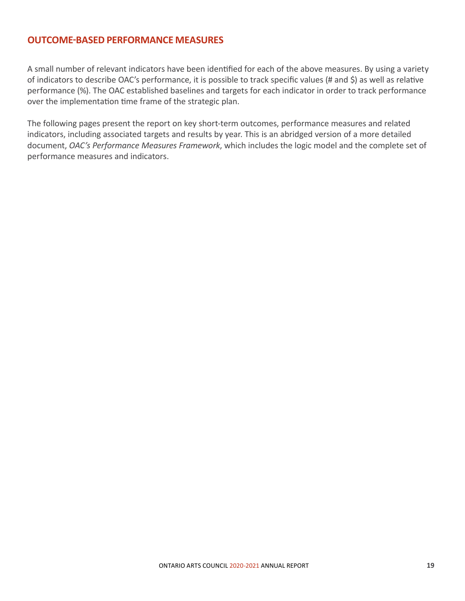#### **OUTCOME-BASED PERFORMANCE MEASURES**

A small number of relevant indicators have been identified for each of the above measures. By using a variety of indicators to describe OAC's performance, it is possible to track specific values (# and \$) as well as relative performance (%). The OAC established baselines and targets for each indicator in order to track performance over the implementation time frame of the strategic plan. 

The following pages present the report on key short-term outcomes, performance measures and related indicators, including associated targets and results by year. This is an abridged version of a more detailed document, *OAC's Performance Measures Framework*, which includes the logic model and the complete set of performance measures and indicators.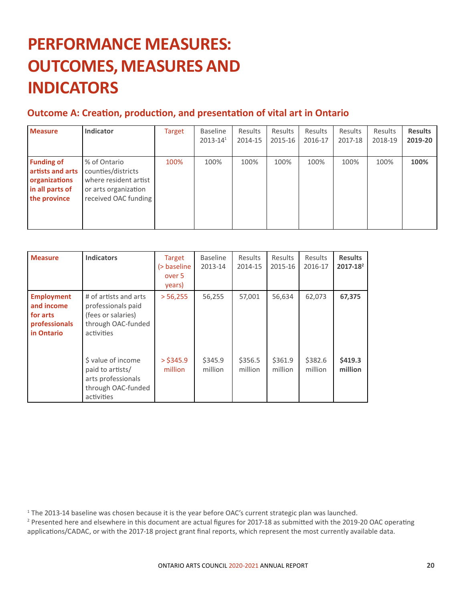# <span id="page-19-0"></span>**PERFORMANCE MEASURES: OUTCOMES, MEASURES AND INDICATORS**

### **Outcome A: Creation, production, and presentation of vital art in Ontario**

| <b>Measure</b>                                                                            | Indicator                                                                                                   | <b>Target</b> | <b>Baseline</b><br>2013-141 | Results<br>2014-15 | Results<br>2015-16 | Results<br>2016-17 | Results<br>2017-18 | Results<br>2018-19 | <b>Results</b><br>2019-20 |
|-------------------------------------------------------------------------------------------|-------------------------------------------------------------------------------------------------------------|---------------|-----------------------------|--------------------|--------------------|--------------------|--------------------|--------------------|---------------------------|
| <b>Funding of</b><br>artists and arts<br>organizations<br>in all parts of<br>the province | % of Ontario<br>counties/districts<br>where resident artist<br>or arts organization<br>received OAC funding | 100%          | 100%                        | 100%               | 100%               | 100%               | 100%               | 100%               | 100%                      |

| <b>Measure</b>                                                             | <b>Indicators</b>                                                                                     | <b>Target</b><br>(> baseline<br>over 5<br>years) | <b>Baseline</b><br>2013-14 | <b>Results</b><br>2014-15 | <b>Results</b><br>2015-16 | Results<br>2016-17 | <b>Results</b><br>2017-18 <sup>2</sup> |
|----------------------------------------------------------------------------|-------------------------------------------------------------------------------------------------------|--------------------------------------------------|----------------------------|---------------------------|---------------------------|--------------------|----------------------------------------|
| <b>Employment</b><br>and income<br>for arts<br>professionals<br>in Ontario | # of artists and arts<br>professionals paid<br>(fees or salaries)<br>through OAC-funded<br>activities | > 56,255                                         | 56,255                     | 57,001                    | 56,634                    | 62,073             | 67,375                                 |
|                                                                            | \$ value of income<br>paid to artists/<br>arts professionals<br>through OAC-funded<br>activities      | $>$ \$345.9<br>million                           | \$345.9<br>million         | \$356.5<br>million        | \$361.9<br>million        | \$382.6<br>million | \$419.3<br>million                     |

1 The 2013-14 baseline was chosen because it is the year before OAC's current strategic plan was launched.

<sup>2</sup> Presented here and elsewhere in this document are actual figures for 2017-18 as submitted with the 2019-20 OAC operating applications/CADAC, or with the 2017-18 project grant final reports, which represent the most currently available data.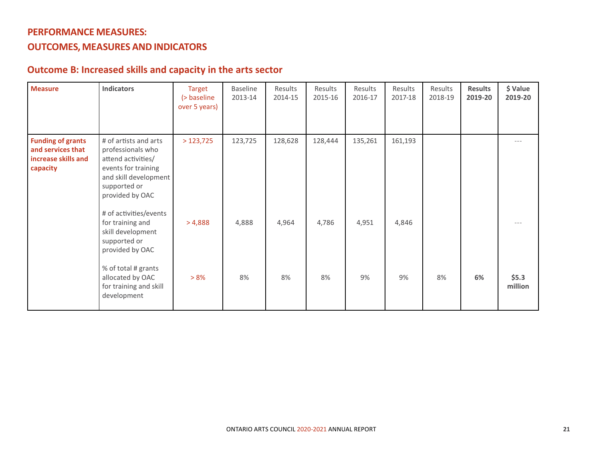### **OUTCOMES, MEASURES AND INDICATORS PERFORMANCE MEASURES:**

#### **Outcome B: Increased skills and capacity in the arts sector**

| <b>Measure</b>                                                                   | <b>Indicators</b>                                                                                                                                   | <b>Target</b><br>(> baseline<br>over 5 years) | <b>Baseline</b><br>2013-14 | Results<br>2014-15 | Results<br>2015-16 | Results<br>2016-17 | Results<br>2017-18 | Results<br>2018-19 | <b>Results</b><br>2019-20 | \$ Value<br>2019-20 |
|----------------------------------------------------------------------------------|-----------------------------------------------------------------------------------------------------------------------------------------------------|-----------------------------------------------|----------------------------|--------------------|--------------------|--------------------|--------------------|--------------------|---------------------------|---------------------|
| <b>Funding of grants</b><br>and services that<br>increase skills and<br>capacity | # of artists and arts<br>professionals who<br>attend activities/<br>events for training<br>and skill development<br>supported or<br>provided by OAC | >123,725                                      | 123,725                    | 128,628            | 128,444            | 135,261            | 161,193            |                    |                           | $- - -$             |
|                                                                                  | # of activities/events<br>for training and<br>skill development<br>supported or<br>provided by OAC                                                  | > 4,888                                       | 4,888                      | 4,964              | 4,786              | 4,951              | 4,846              |                    |                           |                     |
|                                                                                  | % of total # grants<br>allocated by OAC<br>for training and skill<br>development                                                                    | > 8%                                          | 8%                         | 8%                 | 8%                 | 9%                 | 9%                 | 8%                 | 6%                        | \$5.3\$<br>million  |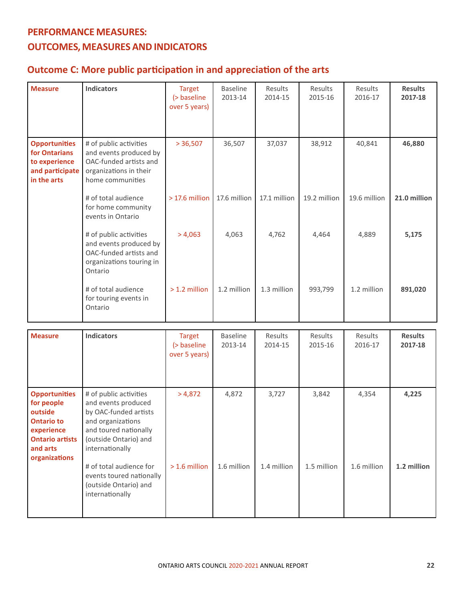#### **PERFORMANCE MEASURES:**

#### **OUTCOMES, MEASURES AND INDICATORS**

#### **Outcome C: More public participation in and appreciation of the arts**

| <b>Measure</b>                                                                           | <b>Indicators</b>                                                                                                        | <b>Target</b><br>(> baseline<br>over 5 years) | <b>Baseline</b><br>2013-14 | Results<br>2014-15 | Results<br>2015-16 | Results<br>2016-17 | <b>Results</b><br>2017-18 |
|------------------------------------------------------------------------------------------|--------------------------------------------------------------------------------------------------------------------------|-----------------------------------------------|----------------------------|--------------------|--------------------|--------------------|---------------------------|
| <b>Opportunities</b><br>for Ontarians<br>to experience<br>and participate<br>in the arts | # of public activities<br>and events produced by<br>OAC-funded artists and<br>organizations in their<br>home communities | > 36,507                                      | 36,507                     | 37,037             | 38,912             | 40,841             | 46,880                    |
|                                                                                          | # of total audience<br>for home community<br>events in Ontario                                                           | $>17.6$ million                               | 17.6 million               | 17.1 million       | 19.2 million       | 19.6 million       | 21.0 million              |
|                                                                                          | # of public activities<br>and events produced by<br>OAC-funded artists and<br>organizations touring in<br>Ontario        | > 4,063                                       | 4,063                      | 4,762              | 4,464              | 4,889              | 5,175                     |
|                                                                                          | # of total audience<br>for touring events in<br>Ontario                                                                  | $> 1.2$ million                               | 1.2 million                | 1.3 million        | 993,799            | 1.2 million        | 891,020                   |

| <b>Measure</b>                                                                                                                          | <b>Indicators</b>                                                                                                                                                                           | <b>Target</b><br>(> baseline<br>over 5 years) | <b>Baseline</b><br>2013-14 | Results<br>2014-15   | Results<br>2015-16   | Results<br>2016-17   | <b>Results</b><br>2017-18 |
|-----------------------------------------------------------------------------------------------------------------------------------------|---------------------------------------------------------------------------------------------------------------------------------------------------------------------------------------------|-----------------------------------------------|----------------------------|----------------------|----------------------|----------------------|---------------------------|
| <b>Opportunities</b><br>for people<br>outside<br><b>Ontario to</b><br>experience<br><b>Ontario artists</b><br>and arts<br>organizations | # of public activities<br>and events produced<br>by OAC-funded artists<br>and organizations<br>and toured nationally<br>(outside Ontario) and<br>internationally<br># of total audience for | > 4,872<br>$>1.6$ million                     | 4,872<br>1.6 million       | 3,727<br>1.4 million | 3,842<br>1.5 million | 4,354<br>1.6 million | 4,225<br>1.2 million      |
|                                                                                                                                         | events toured nationally<br>(outside Ontario) and<br>internationally                                                                                                                        |                                               |                            |                      |                      |                      |                           |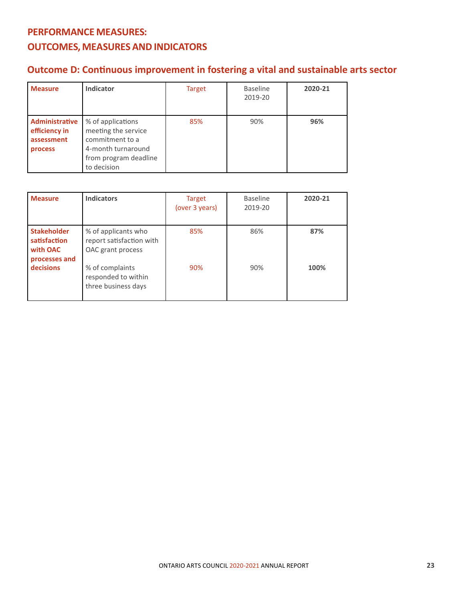#### **PERFORMANCE MEASURES:**

#### **OUTCOMES, MEASURES AND INDICATORS**

#### **Outcome D: Continuous improvement in fostering a vital and sustainable arts sector**

| <b>Measure</b>                                                  | <b>Indicator</b>                                                                                                          | <b>Target</b> | <b>Baseline</b><br>2019-20 | 2020-21 |
|-----------------------------------------------------------------|---------------------------------------------------------------------------------------------------------------------------|---------------|----------------------------|---------|
| <b>Administrative</b><br>efficiency in<br>assessment<br>process | % of applications<br>meeting the service<br>commitment to a<br>4-month turnaround<br>from program deadline<br>to decision | 85%           | 90%                        | 96%     |

| <b>Measure</b>                                                               | <b>Indicators</b>                                                                       | <b>Target</b><br>(over 3 years) | <b>Baseline</b><br>2019-20 | 2020-21     |
|------------------------------------------------------------------------------|-----------------------------------------------------------------------------------------|---------------------------------|----------------------------|-------------|
| <b>Stakeholder</b><br>satisfaction<br>with OAC<br>processes and<br>decisions | % of applicants who<br>report satisfaction with<br>OAC grant process<br>% of complaints | 85%<br>90%                      | 86%<br>90%                 | 87%<br>100% |
|                                                                              | responded to within<br>three business days                                              |                                 |                            |             |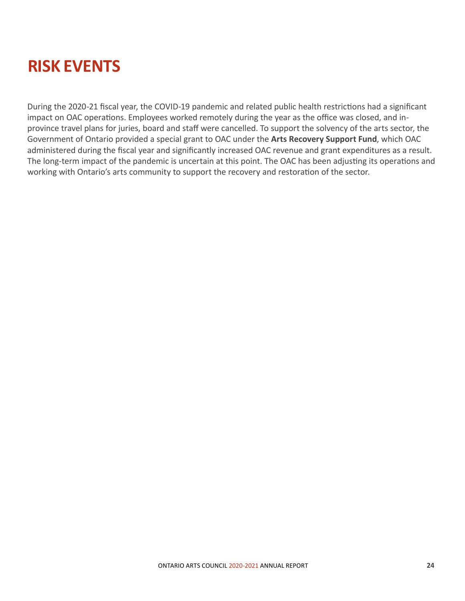# <span id="page-23-0"></span>**RISK EVENTS**

During the 2020-21 fiscal year, the COVID-19 pandemic and related public health restrictions had a significant impact on OAC operations. Employees worked remotely during the year as the office was closed, and inprovince travel plans for juries, board and staff were cancelled. To support the solvency of the arts sector, the Government of Ontario provided a special grant to OAC under the **Arts Recovery Support Fund**, which OAC administered during the fiscal year and significantly increased OAC revenue and grant expenditures as a result. The long-term impact of the pandemic is uncertain at this point. The OAC has been adjusting its operations and working with Ontario's arts community to support the recovery and restoration of the sector.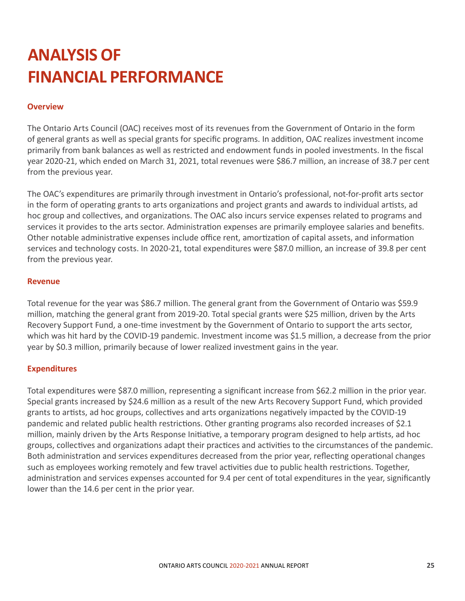# <span id="page-24-0"></span>**ANALYSISOF FINANCIAL PERFORMANCE**

#### **Overview**

The Ontario Arts Council (OAC) receives most of its revenues from the Government of Ontario in the form of general grants as well as special grants for specific programs. In addition, OAC realizes investment income primarily from bank balances as well as restricted and endowment funds in pooled investments. In the fiscal year 2020-21, which ended on March 31, 2021, total revenues were \$86.7 million, an increase of 38.7 per cent from the previous year.

The OAC's expenditures are primarily through investment in Ontario's professional, not-for-profit arts sector in the form of operating grants to arts organizations and project grants and awards to individual artists, ad hoc group and collectives, and organizations. The OAC also incurs service expenses related to programs and services it provides to the arts sector. Administration expenses are primarily employee salaries and benefits. Other notable administrative expenses include office rent, amortization of capital assets, and information services and technology costs. In 2020-21, total expenditures were \$87.0 million, an increase of 39.8 per cent from the previous year.

#### **Revenue**

Total revenue for the year was \$86.7 million. The general grant from the Government of Ontario was \$59.9 million, matching the general grant from 2019-20. Total special grants were \$25 million, driven by the Arts Recovery Support Fund, a one-time investment by the Government of Ontario to support the arts sector, which was hit hard by the COVID-19 pandemic. Investment income was \$1.5 million, a decrease from the prior year by \$0.3 million, primarily because of lower realized investment gains in the year.

#### **Expenditures**

Total expenditures were \$87.0 million, representing a significant increase from \$62.2 million in the prior year. Special grants increased by \$24.6 million as a result of the new Arts Recovery Support Fund, which provided grants to artists, ad hoc groups, collectives and arts organizations negatively impacted by the COVID-19 pandemic and related public health restrictions. Other granting programs also recorded increases of \$2.1 million, mainly driven by the Arts Response Initiative, a temporary program designed to help artists, ad hoc groups, collectives and organizations adapt their practices and activities to the circumstances of the pandemic. Both administration and services expenditures decreased from the prior year, reflecting operational changes such as employees working remotely and few travel activities due to public health restrictions. Together, administration and services expenses accounted for 9.4 per cent of total expenditures in the year, significantly lower than the 14.6 per cent in the prior year.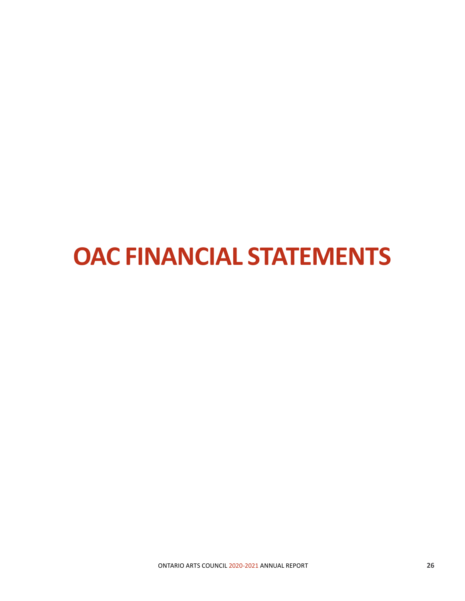# <span id="page-25-0"></span>**OAC FINANCIAL STATEMENTS**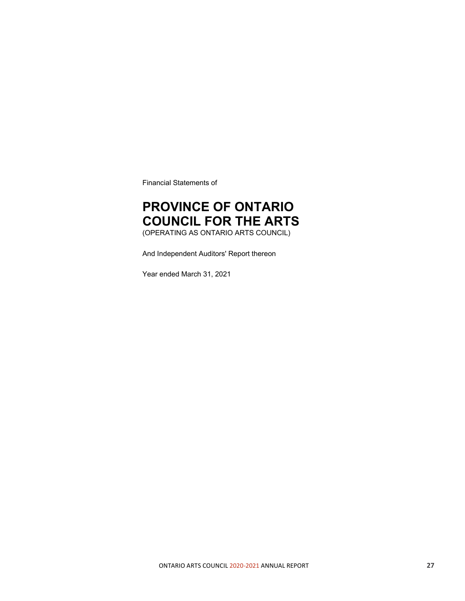Financial Statements of

### **PROVINCE OF ONTARIO COUNCIL FOR THE ARTS**  (OPERATING AS ONTARIO ARTS COUNCIL)

And Independent Auditors' Report thereon

Year ended March 31, 2021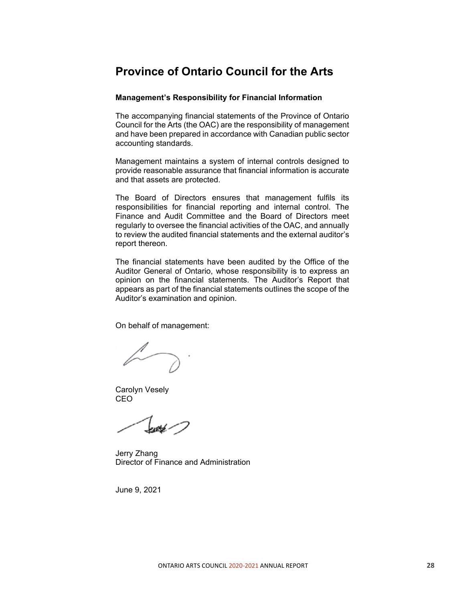### <span id="page-27-0"></span>**Province of Ontario Council for the Arts**

#### **Management's Responsibility for Financial Information**

The accompanying financial statements of the Province of Ontario Council for the Arts (the OAC) are the responsibility of management and have been prepared in accordance with Canadian public sector accounting standards.

Management maintains a system of internal controls designed to provide reasonable assurance that financial information is accurate and that assets are protected.

The Board of Directors ensures that management fulfils its responsibilities for financial reporting and internal control. The Finance and Audit Committee and the Board of Directors meet regularly to oversee the financial activities of the OAC, and annually to review the audited financial statements and the external auditor's report thereon.

The financial statements have been audited by the Office of the Auditor General of Ontario, whose responsibility is to express an opinion on the financial statements. The Auditor's Report that appears as part of the financial statements outlines the scope of the Auditor's examination and opinion.

On behalf of management:

Carolyn Vesely CEO

Teneté / 7

Jerry Zhang Director of Finance and Administration

June 9, 2021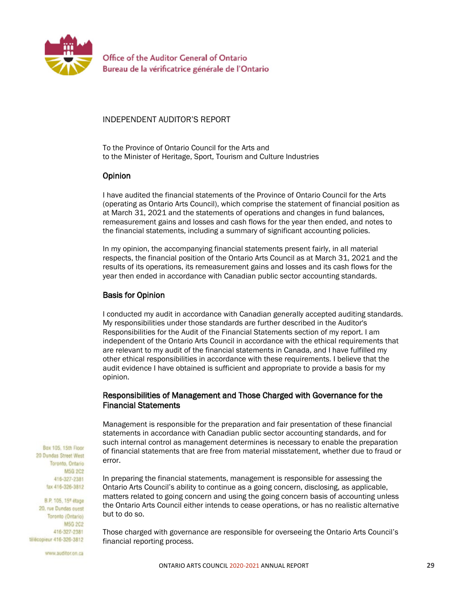<span id="page-28-0"></span>

#### INDEPENDENT AUDITOR'S REPORT

To the Province of Ontario Council for the Arts and to the Minister of Heritage, Sport, Tourism and Culture Industries

#### Opinion Opinion

I have audited the financial statements of the Province of Ontario Council for the Arts (operating as Ontario Arts Council), which comprise the statement of financial position as at March 31, 2021 and the statements of operations and changes in fund balances, remeasurement gains and losses and cash flows for the year then ended, and notes to the financial statements, including a summary of significant accounting policies.

In my opinion, the accompanying financial statements present fairly, in all material respects, the financial position of the Ontario Arts Council as at March 31, 2021 and the results of its operations, its remeasurement gains and losses and its cash flows for the year then ended in accordance with Canadian public sector accounting standards.

#### Basis for Opinion Opinion

I conducted my audit in accordance with Canadian generally accepted auditing standards. My responsibilities under those standards are further described in the Auditor's Responsibilities for the Audit of the Financial Statements section of my report. I am independent of the Ontario Arts Council in accordance with the ethical requirements that are relevant to my audit of the financial statements in Canada, and I have fulfilled my other ethical responsibilities in accordance with these requirements. I believe that the audit evidence I have obtained is sufficient and appropriate to provide a basis for my opinion.

#### Responsibilities of Management and Those Charged with Governance for the Financial Statements Statements

Management is responsible for the preparation and fair presentation of these financial statements in accordance with Canadian public sector accounting standards, and for such internal control as management determines is necessary to enable the preparation of financial statements that are free from material misstatement, whether due to fraud or error.

In preparing the financial statements, management is responsible for assessing the Ontario Arts Council's ability to continue as a going concern, disclosing, as applicable, matters related to going concern and using the going concern basis of accounting unless the Ontario Arts Council either intends to cease operations, or has no realistic alternative but to do so.

Those charged with governance are responsible for overseeing the Ontario Arts Council's financial reporting process.

Box 105, 15th Floor 20 Dundas Street West Toronto, Ontario M5G 2C2 416-327-2381 fax 416-326-3812

B.P. 105, 15<sup>e</sup> étage 20, rue Dundas ouest Toronto (Ontario) **M5G 2C2** 416-327-2381 télécopieur 416-326-3812

[www.auditor.on.ca](http://www.auditor.on.ca)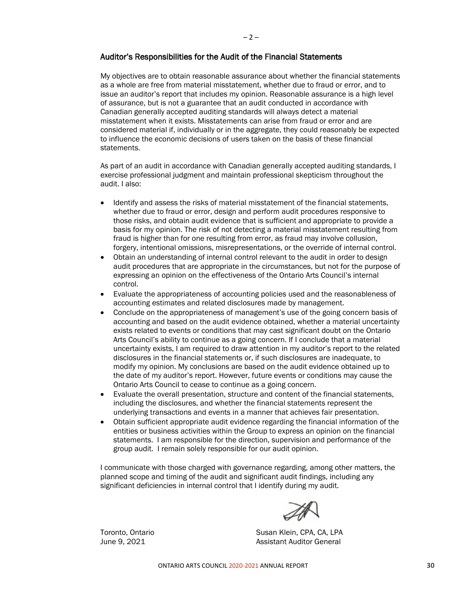#### Auditor's Responsibilities for the Audit of the Financial Statements Statements

 issue an auditor's report that includes my opinion. Reasonable assurance is a high level of assurance, but is not a guarantee that an audit conducted in accordance with misstatement when it exists. Misstatements can arise from fraud or error and are considered material if, individually or in the aggregate, they could reasonably be expected My objectives are to obtain reasonable assurance about whether the financial statements as a whole are free from material misstatement, whether due to fraud or error, and to Canadian generally accepted auditing standards will always detect a material to influence the economic decisions of users taken on the basis of these financial statements.

As part of an audit in accordance with Canadian generally accepted auditing standards, I exercise professional judgment and maintain professional skepticism throughout the audit. I also:

- whether due to fraud or error, design and perform audit procedures responsive to • Identify and assess the risks of material misstatement of the financial statements, those risks, and obtain audit evidence that is sufficient and appropriate to provide a basis for my opinion. The risk of not detecting a material misstatement resulting from fraud is higher than for one resulting from error, as fraud may involve collusion, forgery, intentional omissions, misrepresentations, or the override of internal control.
- audit procedures that are appropriate in the circumstances, but not for the purpose of • Obtain an understanding of internal control relevant to the audit in order to design expressing an opinion on the effectiveness of the Ontario Arts Council's internal control.
- Evaluate the appropriateness of accounting policies used and the reasonableness of accounting estimates and related disclosures made by management.
- exists related to events or conditions that may cast significant doubt on the Ontario • Conclude on the appropriateness of management's use of the going concern basis of accounting and based on the audit evidence obtained, whether a material uncertainty Arts Council's ability to continue as a going concern. If I conclude that a material uncertainty exists, I am required to draw attention in my auditor's report to the related disclosures in the financial statements or, if such disclosures are inadequate, to modify my opinion. My conclusions are based on the audit evidence obtained up to the date of my auditor's report. However, future events or conditions may cause the Ontario Arts Council to cease to continue as a going concern.
- including the disclosures, and whether the financial statements represent the • Evaluate the overall presentation, structure and content of the financial statements, underlying transactions and events in a manner that achieves fair presentation.
- statements. I am responsible for the direction, supervision and performance of the group audit. I remain solely responsible for our audit opinion. • Obtain sufficient appropriate audit evidence regarding the financial information of the entities or business activities within the Group to express an opinion on the financial

significant deficiencies in internal control that I identify during my audit.<br>Toronto, Ontario Susan Klein, CPA, CA, LPA I communicate with those charged with governance regarding, among other matters, the planned scope and timing of the audit and significant audit findings, including any

Toronto, Ontario Toronto, Ontario<br>June 9, 2021 Assistant Auditor General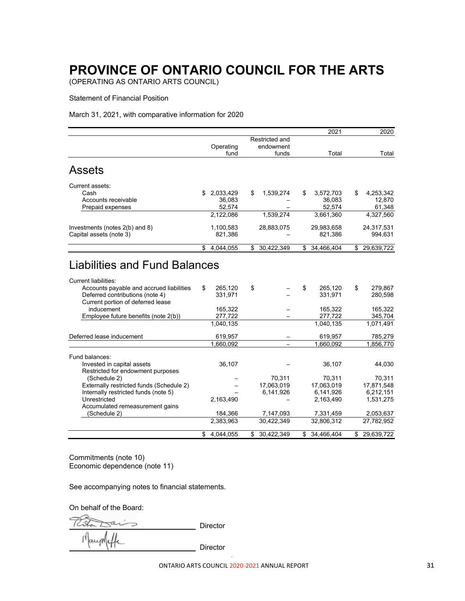<span id="page-30-0"></span>(OPERATING AS ONTARIO ARTS COUNCIL)

Statement of Financial Position

March 31, 2021, with comparative information for 2020

|                                                                         |                 |                          | 2021             | 2020             |
|-------------------------------------------------------------------------|-----------------|--------------------------|------------------|------------------|
|                                                                         |                 | Restricted and           |                  |                  |
|                                                                         | Operating       | endowment                |                  |                  |
|                                                                         | fund            | funds                    | Total            | Total            |
| Assets                                                                  |                 |                          |                  |                  |
| Current assets:                                                         |                 |                          |                  |                  |
| Cash                                                                    | \$2,033,429     | \$<br>1,539,274          | \$<br>3,572,703  | \$<br>4,253,342  |
| Accounts receivable                                                     | 36,083          |                          | 36,083           | 12,870           |
| Prepaid expenses                                                        | 52,574          |                          | 52,574           | 61,348           |
|                                                                         | 2,122,086       | 1,539,274                | 3,661,360        | 4,327,560        |
| Investments (notes 2(b) and 8)                                          | 1,100,583       | 28,883,075               | 29,983,658       | 24,317,531       |
| Capital assets (note 3)                                                 | 821,386         |                          | 821,386          | 994,631          |
|                                                                         | \$<br>4,044,055 | \$<br>30,422,349         | \$ 34,466,404    | \$<br>29,639,722 |
| <b>Liabilities and Fund Balances</b>                                    |                 |                          |                  |                  |
|                                                                         |                 |                          |                  |                  |
| <b>Current liabilities:</b><br>Accounts payable and accrued liabilities | \$<br>265,120   | \$                       | \$<br>265,120    | \$<br>279,867    |
| Deferred contributions (note 4)                                         | 331,971         |                          | 331,971          | 280,598          |
| Current portion of deferred lease                                       |                 |                          |                  |                  |
| inducement                                                              | 165,322         |                          | 165,322          | 165,322          |
| Employee future benefits (note 2(b))                                    | 277,722         |                          | 277,722          | 345,704          |
|                                                                         | 1,040,135       |                          | 1,040,135        | 1,071,491        |
| Deferred lease inducement                                               | 619,957         | $\overline{\phantom{0}}$ | 619,957          | 785,279          |
|                                                                         | 1,660,092       |                          | 1,660,092        | 1,856,770        |
| Fund balances:                                                          |                 |                          |                  |                  |
| Invested in capital assets                                              | 36,107          |                          | 36,107           | 44,030           |
| Restricted for endowment purposes                                       |                 |                          |                  |                  |
| (Schedule 2)                                                            |                 | 70,311                   | 70,311           | 70,311           |
| Externally restricted funds (Schedule 2)                                |                 | 17,063,019               | 17,063,019       | 17,871,548       |
| Internally restricted funds (note 5)                                    |                 | 6,141,926                | 6,141,926        | 6,212,151        |
| Unrestricted                                                            | 2,163,490       |                          | 2,163,490        | 1,531,275        |
| Accumulated remeasurement gains                                         |                 |                          |                  |                  |
| (Schedule 2)                                                            | 184,366         | 7,147,093                | 7,331,459        | 2,053,637        |
|                                                                         | 2,383,963       | 30,422,349               | 32,806,312       | 27,782,952       |
|                                                                         | \$<br>4,044,055 | \$<br>30,422,349         | \$<br>34,466,404 | \$<br>29,639,722 |

Commitments (note 10) Economic dependence (note 11)

See accompanying notes to financial statements.

 $\overline{\phantom{a}}$ 

On behalf of the Board:

aum

Director

**Director**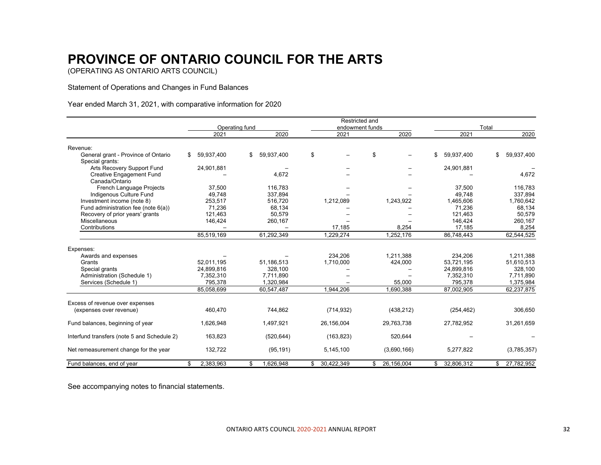<span id="page-31-0"></span>(OPERATING AS ONTARIO ARTS COUNCIL)

Statement of Operations and Changes in Fund Balances

Year ended March 31, 2021, with comparative information for 2020

|                                               |                  |                 | Restricted and   |                  |                  |                  |
|-----------------------------------------------|------------------|-----------------|------------------|------------------|------------------|------------------|
|                                               | Operating fund   |                 | endowment funds  |                  |                  | Total            |
|                                               | 2021             | 2020            | 2021             | 2020             | 2021             | 2020             |
| Revenue:                                      |                  |                 |                  |                  |                  |                  |
|                                               |                  | \$              |                  | \$               | \$               |                  |
| General grant - Province of Ontario           | 59,937,400<br>\$ | 59,937,400      | \$               |                  | 59,937,400       | 59,937,400<br>\$ |
| Special grants:<br>Arts Recovery Support Fund | 24,901,881       |                 |                  |                  | 24,901,881       |                  |
| <b>Creative Engagement Fund</b>               |                  | 4,672           |                  |                  |                  | 4,672            |
| Canada/Ontario                                |                  |                 |                  |                  |                  |                  |
| French Language Projects                      | 37,500           | 116.783         |                  |                  | 37,500           | 116.783          |
| Indigenous Culture Fund                       | 49,748           | 337,894         |                  |                  | 49,748           | 337,894          |
| Investment income (note 8)                    | 253,517          | 516.720         | 1,212,089        | 1,243,922        | 1,465,606        | 1,760,642        |
|                                               |                  |                 |                  |                  |                  |                  |
| Fund administration fee (note 6(a))           | 71,236           | 68,134          |                  |                  | 71,236           | 68,134           |
| Recovery of prior years' grants               | 121,463          | 50,579          |                  |                  | 121,463          | 50,579           |
| Miscellaneous                                 | 146,424          | 260,167         |                  |                  | 146,424          | 260,167          |
| Contributions                                 |                  |                 | 17,185           | 8,254            | 17,185           | 8,254            |
|                                               | 85,519,169       | 61,292,349      | 1,229,274        | 1,252,176        | 86,748,443       | 62,544,525       |
| Expenses:                                     |                  |                 |                  |                  |                  |                  |
| Awards and expenses                           |                  |                 | 234.206          | 1.211.388        | 234,206          | 1,211,388        |
| Grants                                        | 52.011.195       | 51,186,513      | 1,710,000        | 424,000          | 53,721,195       | 51,610,513       |
| Special grants                                | 24,899,816       | 328,100         |                  |                  | 24,899,816       | 328,100          |
| Administration (Schedule 1)                   | 7,352,310        | 7,711,890       |                  |                  | 7,352,310        | 7,711,890        |
| Services (Schedule 1)                         | 795,378          | 1,320,984       |                  | 55,000           | 795,378          | 1,375,984        |
|                                               | 85,058,699       | 60,547,487      | 1,944,206        | 1,690,388        | 87,002,905       | 62,237,875       |
|                                               |                  |                 |                  |                  |                  |                  |
| Excess of revenue over expenses               |                  |                 |                  |                  |                  |                  |
| (expenses over revenue)                       | 460,470          | 744,862         | (714, 932)       | (438, 212)       | (254, 462)       | 306,650          |
|                                               |                  |                 |                  |                  |                  |                  |
| Fund balances, beginning of year              | 1,626,948        | 1,497,921       | 26,156,004       | 29,763,738       | 27,782,952       | 31,261,659       |
| Interfund transfers (note 5 and Schedule 2)   | 163,823          | (520, 644)      | (163, 823)       | 520,644          |                  |                  |
| Net remeasurement change for the year         | 132,722          | (95, 191)       | 5,145,100        | (3,690,166)      | 5,277,822        | (3,785,357)      |
| Fund balances, end of year                    | 2,383,963<br>\$  | \$<br>1,626,948 | \$<br>30,422,349 | 26,156,004<br>\$ | 32,806,312<br>\$ | 27.782.952<br>\$ |

See accompanying notes to financial statements.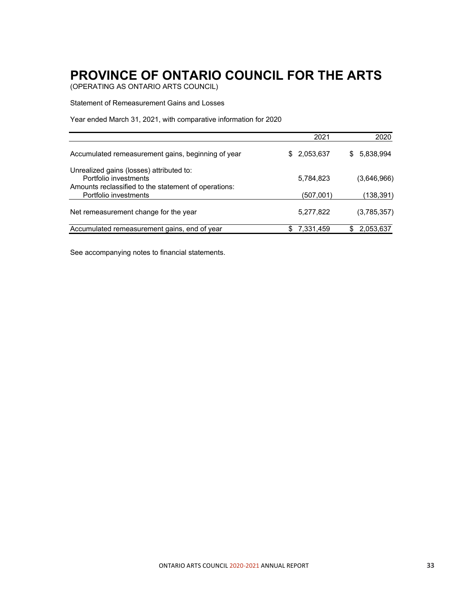<span id="page-32-0"></span>(OPERATING AS ONTARIO ARTS COUNCIL)

Statement of Remeasurement Gains and Losses

Year ended March 31, 2021, with comparative information for 2020

|                                                                                                                           | 2021            | 2020            |
|---------------------------------------------------------------------------------------------------------------------------|-----------------|-----------------|
| Accumulated remeasurement gains, beginning of year                                                                        | 2,053,637<br>S. | 5,838,994<br>S. |
| Unrealized gains (losses) attributed to:<br>Portfolio investments<br>Amounts reclassified to the statement of operations: | 5,784,823       | (3,646,966)     |
| Portfolio investments                                                                                                     | (507,001)       | (138,391)       |
| Net remeasurement change for the year                                                                                     | 5,277,822       | (3,785,357)     |
| Accumulated remeasurement gains, end of year                                                                              | 7,331,459       | 2,053,637       |

See accompanying notes to financial statements.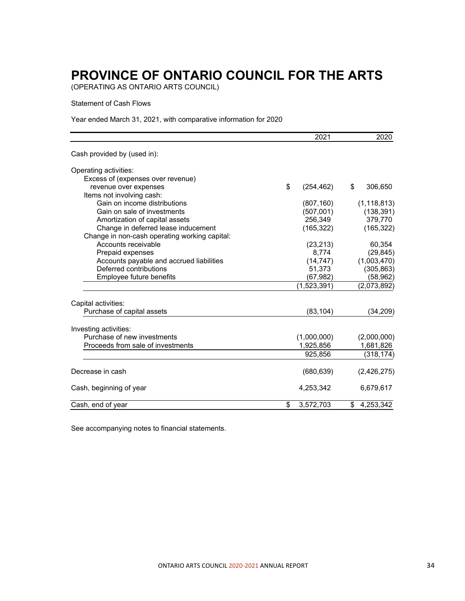<span id="page-33-0"></span>(OPERATING AS ONTARIO ARTS COUNCIL)

Statement of Cash Flows

Year ended March 31, 2021, with comparative information for 2020

|                                               | 2021             | 2020          |
|-----------------------------------------------|------------------|---------------|
| Cash provided by (used in):                   |                  |               |
| Operating activities:                         |                  |               |
| Excess of (expenses over revenue)             |                  |               |
| revenue over expenses                         | \$<br>(254, 462) | \$<br>306,650 |
| Items not involving cash:                     |                  |               |
| Gain on income distributions                  | (807, 160)       | (1, 118, 813) |
| Gain on sale of investments                   | (507,001)        | (138, 391)    |
| Amortization of capital assets                | 256,349          | 379,770       |
| Change in deferred lease inducement           | (165, 322)       | (165, 322)    |
| Change in non-cash operating working capital: |                  |               |
| Accounts receivable                           | (23, 213)        | 60,354        |
| Prepaid expenses                              | 8,774            | (29, 845)     |
| Accounts payable and accrued liabilities      | (14, 747)        | (1,003,470)   |
| Deferred contributions                        | 51,373           | (305, 863)    |
| Employee future benefits                      | (67, 982)        | (58,962)      |
|                                               | (1,523,391)      | (2,073,892)   |
| Capital activities:                           |                  |               |
| Purchase of capital assets                    | (83, 104)        | (34, 209)     |
|                                               |                  |               |
| Investing activities:                         |                  |               |
| Purchase of new investments                   | (1,000,000)      | (2,000,000)   |
| Proceeds from sale of investments             | 1,925,856        | 1,681,826     |
|                                               | 925,856          | (318, 174)    |
| Decrease in cash                              | (680, 639)       | (2,426,275)   |
| Cash, beginning of year                       | 4,253,342        | 6,679,617     |
| Cash, end of year                             | \$<br>3,572,703  | \$4,253,342   |

See accompanying notes to financial statements.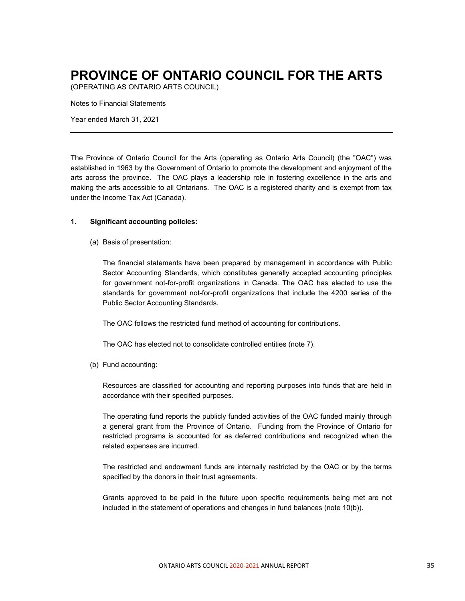<span id="page-34-0"></span>(OPERATING AS ONTARIO ARTS COUNCIL)

Notes to Financial Statements

Year ended March 31, 2021

The Province of Ontario Council for the Arts (operating as Ontario Arts Council) (the "OAC") was established in 1963 by the Government of Ontario to promote the development and enjoyment of the arts across the province. The OAC plays a leadership role in fostering excellence in the arts and making the arts accessible to all Ontarians. The OAC is a registered charity and is exempt from tax under the Income Tax Act (Canada).

#### **1. Significant accounting policies:**

(a) Basis of presentation:

The financial statements have been prepared by management in accordance with Public Sector Accounting Standards, which constitutes generally accepted accounting principles for government not-for-profit organizations in Canada. The OAC has elected to use the standards for government not-for-profit organizations that include the 4200 series of the Public Sector Accounting Standards.

The OAC follows the restricted fund method of accounting for contributions.

The OAC has elected not to consolidate controlled entities (note 7).

(b) Fund accounting:

Resources are classified for accounting and reporting purposes into funds that are held in accordance with their specified purposes.

The operating fund reports the publicly funded activities of the OAC funded mainly through a general grant from the Province of Ontario. Funding from the Province of Ontario for restricted programs is accounted for as deferred contributions and recognized when the related expenses are incurred.

The restricted and endowment funds are internally restricted by the OAC or by the terms specified by the donors in their trust agreements.

Grants approved to be paid in the future upon specific requirements being met are not included in the statement of operations and changes in fund balances (note 10(b)) .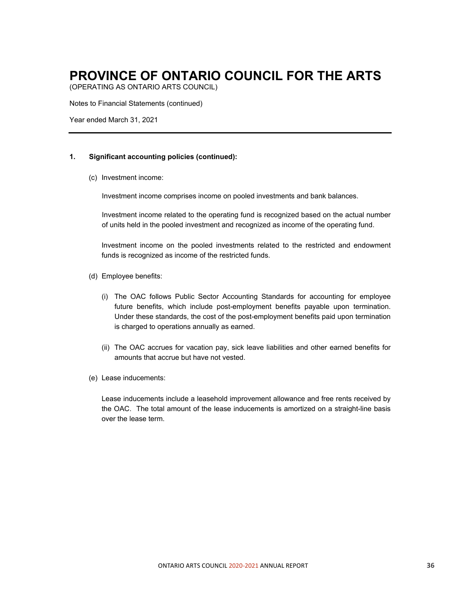(OPERATING AS ONTARIO ARTS COUNCIL)

Notes to Financial Statements (continued)

Year ended March 31, 2021

#### **1. Significant accounting policies (continued):**

(c) Investment income:

Investment income comprises income on pooled investments and bank balances.

 Investment income related to the operating fund is recognized based on the actual number of units held in the pooled investment and recognized as income of the operating fund.

 funds is recognized as income of the restricted funds. Investment income on the pooled investments related to the restricted and endowment

- (d) Employee benefits:
	- future benefits, which include post-employment benefits payable upon termination. future benefits, which include post-employment benefits payable upon termination.<br>Under these standards, the cost of the post-employment benefits paid upon termination is charged to operations annually as earned. (i) The OAC follows Public Sector Accounting Standards for accounting for employee
	- amounts that accrue but have not vested. (ii) The OAC accrues for vacation pay, sick leave liabilities and other earned benefits for
- (e) Lease inducements:

 the OAC. The total amount of the lease inducements is amortized on a straight-line basis Lease inducements include a leasehold improvement allowance and free rents received by over the lease term.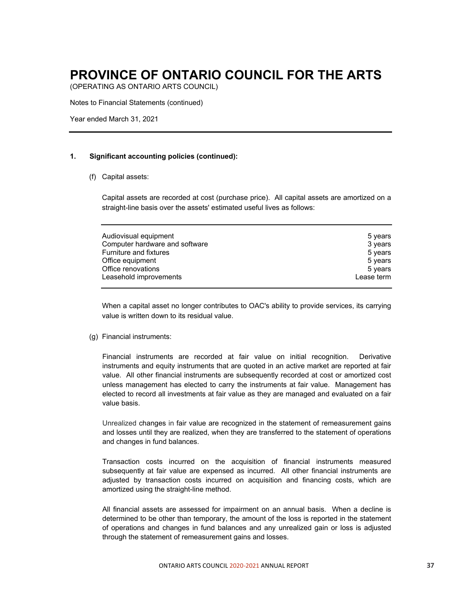(OPERATING AS ONTARIO ARTS COUNCIL)

Notes to Financial Statements (continued)

Year ended March 31, 2021

#### **1. Significant accounting policies (continued):**

(f) Capital assets:

 Capital assets are recorded at cost (purchase price). All capital assets are amortized on a straight-line basis over the assets' estimated useful lives as follows:

| Audiovisual equipment          | 5 years    |
|--------------------------------|------------|
| Computer hardware and software | 3 years    |
| Furniture and fixtures         | 5 years    |
| Office equipment               | 5 years    |
| Office renovations             | 5 years    |
| Leasehold improvements         | Lease term |

 When a capital asset no longer contributes to OAC's ability to provide services, its carrying value is written down to its residual value.

(g) Financial instruments:

 Financial instruments are recorded at fair value on initial recognition. Derivative instruments and equity instruments that are quoted in an active market are reported at fair value. All other financial instruments are subsequently recorded at cost or amortized cost elected to record all investments at fair value as they are managed and evaluated on a fair unless management has elected to carry the instruments at fair value. Management has value basis.

 Unrealized changes in fair value are recognized in the statement of remeasurement gains and losses until they are realized, when they are transferred to the statement of operations and changes in fund balances.

Transaction costs incurred on the acquisition of financial instruments measured subsequently at fair value are expensed as incurred. All other financial instruments are adjusted by transaction costs incurred on acquisition and financing costs, which are amortized using the straight-line method.

 All financial assets are assessed for impairment on an annual basis. When a decline is determined to be other than temporary, the amount of the loss is reported in the statement through the statement of remeasurement gains and losses. of operations and changes in fund balances and any unrealized gain or loss is adjusted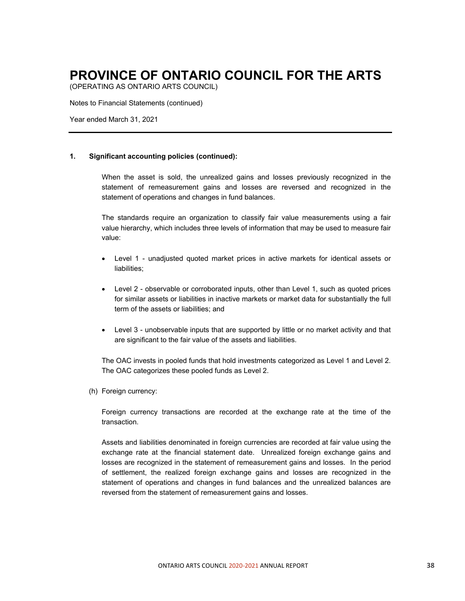(OPERATING AS ONTARIO ARTS COUNCIL)

Notes to Financial Statements (continued)

Year ended March 31, 2021

#### **1. Significant accounting policies (continued):**

 statement of operations and changes in fund balances. When the asset is sold, the unrealized gains and losses previously recognized in the statement of remeasurement gains and losses are reversed and recognized in the

 value hierarchy, which includes three levels of information that may be used to measure fair The standards require an organization to classify fair value measurements using a fair value:

- Level 1 unadjusted quoted market prices in active markets for identical assets or liabilities:
- • Level 2 observable or corroborated inputs, other than Level 1, such as quoted prices for similar assets or liabilities in inactive markets or market data for substantially the full term of the assets or liabilities; and
- • Level 3 unobservable inputs that are supported by little or no market activity and that are significant to the fair value of the assets and liabilities.

 The OAC invests in pooled funds that hold investments categorized as Level 1 and Level 2. The OAC categorizes these pooled funds as Level 2.

(h) Foreign currency:

Foreign currency transactions are recorded at the exchange rate at the time of the transaction.

 Assets and liabilities denominated in foreign currencies are recorded at fair value using the losses are recognized in the statement of remeasurement gains and losses. In the period reversed from the statement of remeasurement gains and losses. exchange rate at the financial statement date. Unrealized foreign exchange gains and of settlement, the realized foreign exchange gains and losses are recognized in the statement of operations and changes in fund balances and the unrealized balances are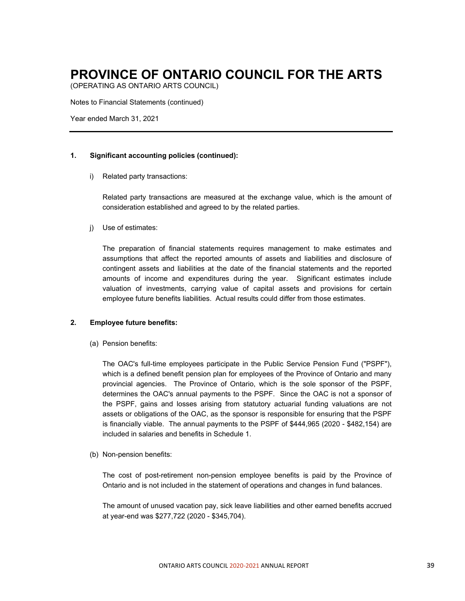(OPERATING AS ONTARIO ARTS COUNCIL)

Notes to Financial Statements (continued)

Year ended March 31, 2021

#### **1. Significant accounting policies (continued):**

i) Related party transactions:

Related party transactions are measured at the exchange value, which is the amount of consideration established and agreed to by the related parties.

j) Use of estimates:

 employee future benefits liabilities. Actual results could differ from those estimates. The preparation of financial statements requires management to make estimates and assumptions that affect the reported amounts of assets and liabilities and disclosure of contingent assets and liabilities at the date of the financial statements and the reported amounts of income and expenditures during the year. Significant estimates include valuation of investments, carrying value of capital assets and provisions for certain

#### **2. Employee future benefits:**

(a) Pension benefits:

 which is a defined benefit pension plan for employees of the Province of Ontario and many determines the OAC's annual payments to the PSPF. Since the OAC is not a sponsor of assets or obligations of the OAC, as the sponsor is responsible for ensuring that the PSPF is financially viable. The annual payments to the PSPF of \$444,965 (2020 - \$482,154) are The OAC's full-time employees participate in the Public Service Pension Fund ("PSPF"), provincial agencies. The Province of Ontario, which is the sole sponsor of the PSPF, the PSPF, gains and losses arising from statutory actuarial funding valuations are not included in salaries and benefits in Schedule 1.

(b) Non-pension benefits:

 Ontario and is not included in the statement of operations and changes in fund balances. The cost of post-retirement non-pension employee benefits is paid by the Province of

 The amount of unused vacation pay, sick leave liabilities and other earned benefits accrued at year-end was \$277,722 (2020 - \$345,704).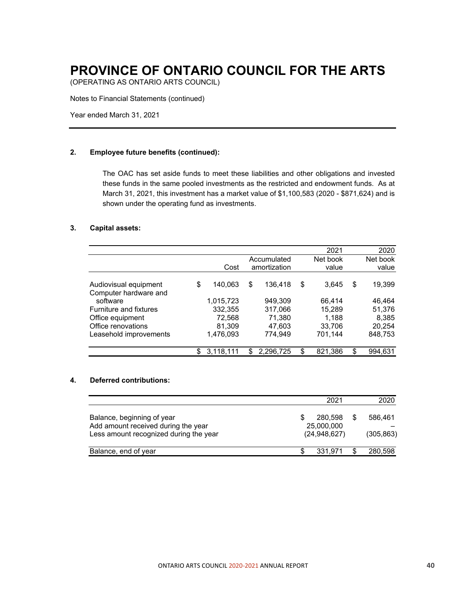(OPERATING AS ONTARIO ARTS COUNCIL)

Notes to Financial Statements (continued)

Year ended March 31, 2021

#### **2. Employee future benefits (continued):**

 these funds in the same pooled investments as the restricted and endowment funds. As at March 31, 2021, this investment has a market value of \$1,100,583 (2020 - \$871,624) and is The OAC has set aside funds to meet these liabilities and other obligations and invested shown under the operating fund as investments.

#### **3. Capital assets:**

|                                   |     |           |     |              | 2021          | 2020          |
|-----------------------------------|-----|-----------|-----|--------------|---------------|---------------|
|                                   |     |           |     | Accumulated  | Net book      | Net book      |
|                                   |     | Cost      |     | amortization | value         | value         |
| Audiovisual equipment             | \$  | 140.063   | \$  | 136,418      | \$<br>3,645   | \$<br>19,399  |
| Computer hardware and<br>software |     | 1,015,723 |     | 949,309      | 66,414        | 46,464        |
| Furniture and fixtures            |     | 332,355   |     | 317,066      | 15.289        | 51,376        |
| Office equipment                  |     | 72,568    |     | 71,380       | 1,188         | 8,385         |
| Office renovations                |     | 81.309    |     | 47,603       | 33.706        | 20,254        |
| Leasehold improvements            |     | 1,476,093 |     | 774,949      | 701,144       | 848,753       |
|                                   | \$. | 3,118,111 | \$. | 2,296,725    | \$<br>821,386 | \$<br>994,631 |

#### **4. Deferred contributions:**

|                                                                                                             | 2021                                    | 2020                  |
|-------------------------------------------------------------------------------------------------------------|-----------------------------------------|-----------------------|
| Balance, beginning of year<br>Add amount received during the year<br>Less amount recognized during the year | 280,598<br>25,000,000<br>(24, 948, 627) | 586,461<br>(305, 863) |
| Balance, end of year                                                                                        | 331.971                                 | 280,598               |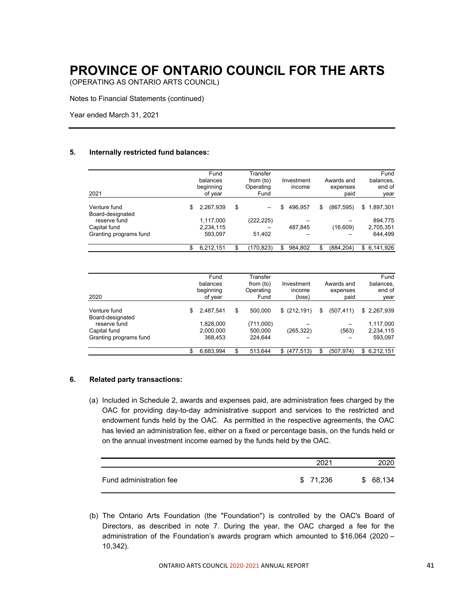(OPERATING AS ONTARIO ARTS COUNCIL)

Notes to Financial Statements (continued)

Year ended March 31, 2021

#### **5. Internally restricted fund balances:**

| 2021                             |     | Fund<br>balances<br>beginning<br>of vear | Transfer<br>from (to)<br>Operating<br>Fund | Investment<br>income | Awards and<br>expenses<br>paid | Fund<br>balances,<br>end of<br>year |
|----------------------------------|-----|------------------------------------------|--------------------------------------------|----------------------|--------------------------------|-------------------------------------|
| Venture fund                     | \$. | 2,267,939                                | \$                                         | \$<br>496,957        | \$<br>(867,595)                | 1,897,301<br>\$                     |
| Board-designated<br>reserve fund |     | 1,117,000                                | (222, 225)                                 |                      |                                | 894,775                             |
| Capital fund                     |     | 2,234,115                                |                                            | 487,845              | (16, 609)                      | 2,705,351                           |
| Granting programs fund           |     | 593,097                                  | 51,402                                     |                      |                                | 644,499                             |
|                                  | \$  | 6.212.151                                | \$<br>(170.823)                            | \$<br>984.802        | \$<br>(884, 204)               | \$6,141,926                         |

| 2020                             | Fund<br>balances<br>beginning<br>of vear | Transfer<br>from $(to)$<br>Operating<br>Fund | Investment<br>income<br>(loss) |    | Awards and<br>expenses<br>paid | Fund<br>balances,<br>end of<br>vear |
|----------------------------------|------------------------------------------|----------------------------------------------|--------------------------------|----|--------------------------------|-------------------------------------|
| Venture fund<br>Board-designated | \$<br>2,487,541                          | \$<br>500.000                                | \$(212, 191)                   | \$ | (507, 411)                     | \$2,267,939                         |
| reserve fund<br>Capital fund     | 1,828,000<br>2,000,000                   | (711,000)<br>500,000                         | (265,322)                      |    | (563)                          | 1,117,000<br>2,234,115              |
| Granting programs fund           | 368.453                                  | 224.644                                      |                                |    |                                | 593,097                             |
|                                  | \$<br>6,683,994                          | \$<br>513.644                                | (477, 513)<br>S.               | S  | (507, 974)                     | \$6,212,151                         |

#### **6. Related party transactions:**

 (a) Included in Schedule 2, awards and expenses paid, are administration fees charged by the endowment funds held by the OAC. As permitted in the respective agreements, the OAC has levied an administration fee, either on a fixed or percentage basis, on the funds held or on the annual investment income earned by the funds held by the OAC. OAC for providing day-to-day administrative support and services to the restricted and

|                         | 2021     | 2020     |
|-------------------------|----------|----------|
| Fund administration fee | \$71,236 | \$68,134 |

(b) The Ontario Arts Foundation (the "Foundation") is controlled by the OAC's Board of Directors, as described in note 7. During the year, the OAC charged a fee for the administration of the Foundation's awards program which amounted to \$16,064 (2020 – 10,342).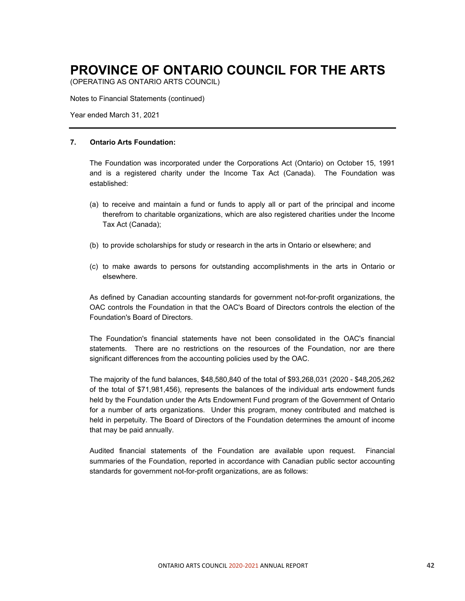(OPERATING AS ONTARIO ARTS COUNCIL)

Notes to Financial Statements (continued)

Year ended March 31, 2021

#### **7. Ontario Arts Foundation:**

 The Foundation was incorporated under the Corporations Act (Ontario) on October 15, 1991 and is a registered charity under the Income Tax Act (Canada). The Foundation was established:

- therefrom to charitable organizations, which are also registered charities under the Income Tax Act (Canada); (a) to receive and maintain a fund or funds to apply all or part of the principal and income
- (b) to provide scholarships for study or research in the arts in Ontario or elsewhere; and
- (c) to make awards to persons for outstanding accomplishments in the arts in Ontario or elsewhere.

 Foundation's Board of Directors. As defined by Canadian accounting standards for government not-for-profit organizations, the OAC controls the Foundation in that the OAC's Board of Directors controls the election of the

 significant differences from the accounting policies used by the OAC. The Foundation's financial statements have not been consolidated in the OAC's financial statements. There are no restrictions on the resources of the Foundation, nor are there

 The majority of the fund balances, \$48,580,840 of the total of \$93,268,031 (2020 - \$48,205,262 held by the Foundation under the Arts Endowment Fund program of the Government of Ontario held in perpetuity. The Board of Directors of the Foundation determines the amount of income that may be paid annually. of the total of \$71,981,456), represents the balances of the individual arts endowment funds for a number of arts organizations. Under this program, money contributed and matched is

 Audited financial statements of the Foundation are available upon request. Financial standards for government not-for-profit organizations, are as follows: summaries of the Foundation, reported in accordance with Canadian public sector accounting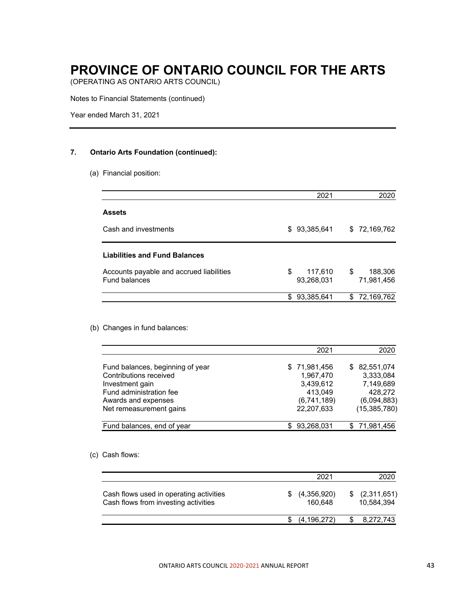(OPERATING AS ONTARIO ARTS COUNCIL)

Notes to Financial Statements (continued)

Year ended March 31, 2021

#### **7. Ontario Arts Foundation (continued):**

(a) Financial position:

|                                                           | 2021                        | 2020                        |
|-----------------------------------------------------------|-----------------------------|-----------------------------|
| <b>Assets</b>                                             |                             |                             |
| Cash and investments                                      | \$93,385,641                | \$72,169,762                |
| <b>Liabilities and Fund Balances</b>                      |                             |                             |
| Accounts payable and accrued liabilities<br>Fund balances | \$<br>117,610<br>93,268,031 | \$<br>188,306<br>71,981,456 |
|                                                           | \$<br>93,385,641            | \$<br>72,169,762            |

#### (b) Changes in fund balances:

|                                  | 2021         | 2020           |
|----------------------------------|--------------|----------------|
|                                  |              |                |
| Fund balances, beginning of year | \$71,981,456 | \$82,551,074   |
| Contributions received           | 1,967,470    | 3,333,084      |
| Investment gain                  | 3,439,612    | 7,149,689      |
| Fund administration fee          | 413,049      | 428,272        |
| Awards and expenses              | (6,741,189)  | (6,094,883)    |
| Net remeasurement gains          | 22,207,633   | (15, 385, 780) |
| Fund balances, end of year       | 93,268,031   | 71,981,456     |

#### (c) Cash flows:

|                                                                                 | 2021                   | 2020                         |
|---------------------------------------------------------------------------------|------------------------|------------------------------|
| Cash flows used in operating activities<br>Cash flows from investing activities | (4,356,920)<br>160.648 | \$ (2,311,651)<br>10,584,394 |
|                                                                                 | (4.196.272)            | 8,272,743                    |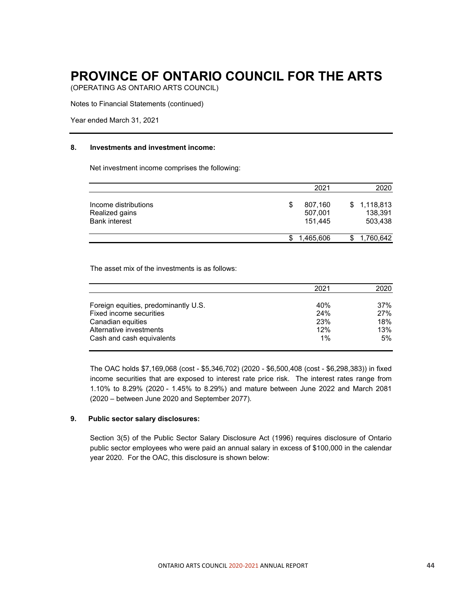(OPERATING AS ONTARIO ARTS COUNCIL)

Notes to Financial Statements (continued)

Year ended March 31, 2021

#### **8. Investments and investment income:**

Net investment income comprises the following:

|                                                                | 2021                               | 2020                              |
|----------------------------------------------------------------|------------------------------------|-----------------------------------|
| Income distributions<br>Realized gains<br><b>Bank interest</b> | 807,160<br>S<br>507,001<br>151.445 | \$1,118,813<br>138,391<br>503,438 |
|                                                                | 1,465,606                          | 1,760,642                         |

The asset mix of the investments is as follows:

|                                      | 2021 | 2020 |
|--------------------------------------|------|------|
|                                      |      |      |
| Foreign equities, predominantly U.S. | 40%  | 37%  |
| Fixed income securities              | 24%  | 27%  |
| Canadian equities                    | 23%  | 18%  |
| Alternative investments              | 12%  | 13%  |
| Cash and cash equivalents            | 1%   | 5%   |

The OAC holds \$7,169,068 (cost - \$5,346,702) (2020 - \$6,500,408 (cost - \$6,298,383)) in fixed income securities that are exposed to interest rate price risk. The interest rates range from 1.10% to 8.29% (2020 - 1.45% to 8.29%) and mature between June 2022 and March 2081 (2020 – between June 2020 and September 2077).

#### $9.$ **9. Public sector salary disclosures:**

 public sector employees who were paid an annual salary in excess of \$100,000 in the calendar year 2020. For the OAC, this disclosure is shown below: Section 3(5) of the Public Sector Salary Disclosure Act (1996) requires disclosure of Ontario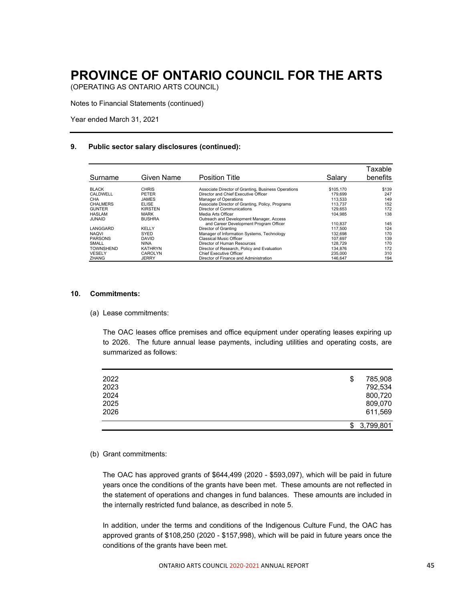(OPERATING AS ONTARIO ARTS COUNCIL)

Notes to Financial Statements (continued)

Year ended March 31, 2021

#### **9. Public sector salary disclosures (continued):**

|                  |                |                                                     |           | Taxable  |
|------------------|----------------|-----------------------------------------------------|-----------|----------|
| Surname          | Given Name     | <b>Position Title</b>                               | Salarv    | benefits |
| <b>BLACK</b>     | <b>CHRIS</b>   | Associate Director of Granting, Business Operations | \$105.170 | \$139    |
| CALDWELL         | PETER          | Director and Chief Executive Officer                | 179.699   | 247      |
| CHA              | JAMES          | Manager of Operations                               | 113.533   | 149      |
| <b>CHALMERS</b>  | <b>FLISE</b>   | Associate Director of Granting, Policy, Programs    | 113.737   | 152      |
| <b>GUNTER</b>    | <b>KIRSTEN</b> | Director of Communications                          | 129.653   | 172      |
| HASLAM           | <b>MARK</b>    | Media Arts Officer                                  | 104.985   | 138      |
| <b>JUNAID</b>    | <b>BUSHRA</b>  | Outreach and Development Manager, Access            |           |          |
|                  |                | and Career Development Program Officer              | 110.837   | 145      |
| LANGGARD         | KELLY          | Director of Granting                                | 117.500   | 124      |
| <b>NAQVI</b>     | <b>SYED</b>    | Manager of Information Systems, Technology          | 132.698   | 170      |
| <b>PARSONS</b>   | <b>DAVID</b>   | Classical Music Officer                             | 107.697   | 139      |
| SMALL            | <b>NINA</b>    | Director of Human Resources                         | 128.729   | 170      |
| <b>TOWNSHEND</b> | <b>KATHRYN</b> | Director of Research, Policy and Evaluation         | 134.876   | 172      |
| <b>VESELY</b>    | CAROLYN        | Chief Executive Officer                             | 235,000   | 310      |
| <b>ZHANG</b>     | JERRY          | Director of Finance and Administration              | 146.647   | 194      |

#### **10. Commitments:**

(a) Lease commitments:

 The OAC leases office premises and office equipment under operating leases expiring up to 2026. The future annual lease payments, including utilities and operating costs, are summarized as follows:

| 2022<br>2023<br>2024<br>2025<br>2026 | \$ | 785,908<br>792,534<br>800,720<br>809,070<br>611,569 |
|--------------------------------------|----|-----------------------------------------------------|
|                                      | S  | 3,799,801                                           |

(b) Grant commitments:

 The OAC has approved grants of \$644,499 (2020 - \$593,097), which will be paid in future years once the conditions of the grants have been met. These amounts are not reflected in the statement of operations and changes in fund balances. These amounts are included in the internally restricted fund balance, as described in note 5.

 In addition, under the terms and conditions of the Indigenous Culture Fund, the OAC has approved grants of \$108,250 (2020 - \$157,998), which will be paid in future years once the conditions of the grants have been met.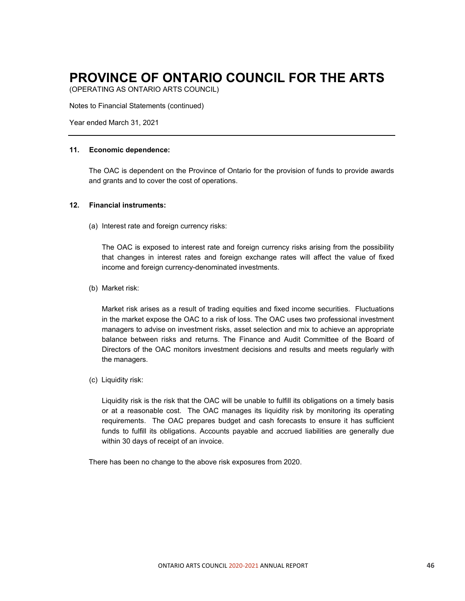(OPERATING AS ONTARIO ARTS COUNCIL)

Notes to Financial Statements (continued)

Year ended March 31, 2021

#### **11. Economic dependence:**

 The OAC is dependent on the Province of Ontario for the provision of funds to provide awards and grants and to cover the cost of operations.

#### **12. Financial instruments:**

(a) Interest rate and foreign currency risks:

 The OAC is exposed to interest rate and foreign currency risks arising from the possibility income and foreign currency-denominated investments. (b) Market risk: that changes in interest rates and foreign exchange rates will affect the value of fixed

 Market risk arises as a result of trading equities and fixed income securities. Fluctuations in the market expose the OAC to a risk of loss. The OAC uses two professional investment managers to advise on investment risks, asset selection and mix to achieve an appropriate balance between risks and returns. The Finance and Audit Committee of the Board of Directors of the OAC monitors investment decisions and results and meets regularly with the managers.

(c) Liquidity risk:

 Liquidity risk is the risk that the OAC will be unable to fulfill its obligations on a timely basis or at a reasonable cost. The OAC manages its liquidity risk by monitoring its operating within 30 days of receipt of an invoice. requirements. The OAC prepares budget and cash forecasts to ensure it has sufficient funds to fulfill its obligations. Accounts payable and accrued liabilities are generally due

There has been no change to the above risk exposures from 2020.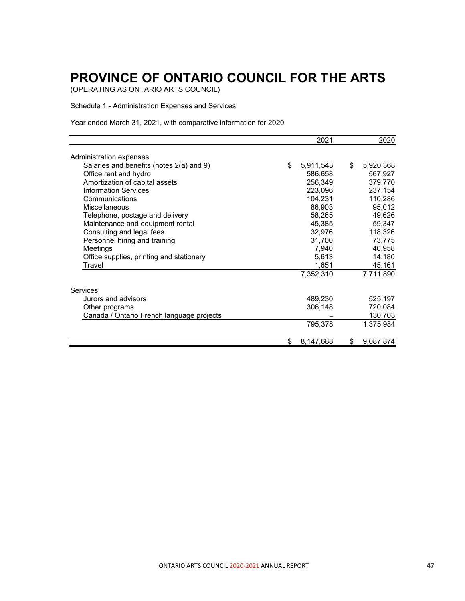<span id="page-46-0"></span>(OPERATING AS ONTARIO ARTS COUNCIL)

Schedule 1 - Administration Expenses and Services

Year ended March 31, 2021, with comparative information for 2020

|                                           | 2021            | 2020            |
|-------------------------------------------|-----------------|-----------------|
| Administration expenses:                  |                 |                 |
| Salaries and benefits (notes 2(a) and 9)  | \$<br>5,911,543 | \$<br>5,920,368 |
| Office rent and hydro                     | 586,658         | 567,927         |
| Amortization of capital assets            | 256,349         | 379,770         |
| <b>Information Services</b>               | 223,096         | 237,154         |
| Communications                            | 104,231         | 110,286         |
| Miscellaneous                             | 86.903          | 95,012          |
| Telephone, postage and delivery           | 58,265          | 49,626          |
| Maintenance and equipment rental          | 45,385          | 59,347          |
| Consulting and legal fees                 | 32,976          | 118,326         |
| Personnel hiring and training             | 31,700          | 73,775          |
| Meetings                                  | 7,940           | 40,958          |
| Office supplies, printing and stationery  | 5,613           | 14,180          |
| Travel                                    | 1,651           | 45,161          |
|                                           | 7,352,310       | 7,711,890       |
| Services:                                 |                 |                 |
| Jurors and advisors                       | 489,230         | 525,197         |
| Other programs                            | 306,148         | 720,084         |
| Canada / Ontario French language projects |                 | 130,703         |
|                                           | 795,378         | 1,375,984       |
|                                           | \$<br>8,147,688 | \$<br>9,087,874 |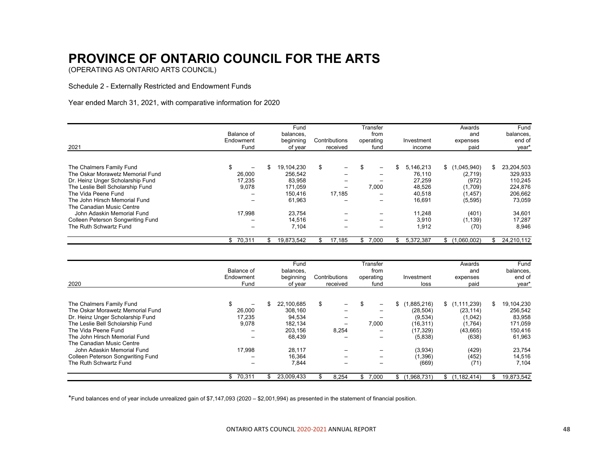<span id="page-47-0"></span>(OPERATING AS ONTARIO ARTS COUNCIL)

Schedule 2 - Externally Restricted and Endowment Funds

Year ended March 31, 2021, with comparative information for 2020

| 2021                              | Balance of<br>Endowment<br>Fund | Fund<br>balances.<br>beginning<br>of year | Contributions<br>received | Transfer<br>from<br>operating<br>fund | Investment<br>income | Awards<br>and<br>expenses<br>paid | Fund<br>balances,<br>end of<br>year* |
|-----------------------------------|---------------------------------|-------------------------------------------|---------------------------|---------------------------------------|----------------------|-----------------------------------|--------------------------------------|
|                                   |                                 |                                           |                           |                                       |                      |                                   |                                      |
| The Chalmers Family Fund          |                                 | \$<br>19,104,230                          | \$                        | -                                     | \$<br>5,146,213      | \$(1,045,940)                     | \$<br>23,204,503                     |
| The Oskar Morawetz Memorial Fund  | 26,000                          | 256.542                                   |                           | -                                     | 76,110               | (2,719)                           | 329,933                              |
| Dr. Heinz Unger Scholarship Fund  | 17,235                          | 83,958                                    |                           |                                       | 27,259               | (972)                             | 110,245                              |
| The Leslie Bell Scholarship Fund  | 9,078                           | 171.059                                   |                           | 7.000                                 | 48,526               | (1,709)                           | 224,876                              |
| The Vida Peene Fund               |                                 | 150,416                                   | 17,185                    | -                                     | 40,518               | (1, 457)                          | 206,662                              |
| The John Hirsch Memorial Fund     |                                 | 61,963                                    |                           |                                       | 16,691               | (5, 595)                          | 73.059                               |
| The Canadian Music Centre         |                                 |                                           |                           |                                       |                      |                                   |                                      |
| John Adaskin Memorial Fund        | 17.998                          | 23,754                                    |                           | $\overline{\phantom{m}}$              | 11,248               | (401)                             | 34,601                               |
| Colleen Peterson Songwriting Fund |                                 | 14,516                                    |                           |                                       | 3,910                | (1, 139)                          | 17,287                               |
| The Ruth Schwartz Fund            |                                 | 7.104                                     |                           |                                       | 1,912                | (70)                              | 8.946                                |
|                                   | \$70,311                        | \$<br>19.873.542                          | 17.185                    | 7,000<br>\$.                          | 5,372,387            | (1,060,002)<br>S.                 | \$<br>24.210.112                     |

| 2020                                                         | Balance of<br>Endowment<br>Fund |     | Fund<br>balances.<br>beginning<br>of year | Contributions<br>received | Transfer<br>from<br>operating<br>fund | Investment<br>loss | Awards<br>and<br>expenses<br>paid | Fund<br>balances.<br>end of<br>year* |
|--------------------------------------------------------------|---------------------------------|-----|-------------------------------------------|---------------------------|---------------------------------------|--------------------|-----------------------------------|--------------------------------------|
|                                                              |                                 |     |                                           |                           |                                       |                    |                                   |                                      |
| The Chalmers Family Fund<br>The Oskar Morawetz Memorial Fund |                                 | \$  | 22.100.685                                | \$                        | -                                     | 1,885,216)<br>\$   | \$(1,111,239)                     | \$<br>19,104,230                     |
|                                                              | 26,000                          |     | 308,160                                   |                           | $\overline{\phantom{m}}$              | (28, 504)          | (23, 114)                         | 256,542                              |
| Dr. Heinz Unger Scholarship Fund                             | 17,235                          |     | 94,534                                    |                           |                                       | (9,534)            | (1,042)                           | 83,958                               |
| The Leslie Bell Scholarship Fund                             | 9,078                           |     | 182,134                                   |                           | 7.000                                 | (16,311)           | (1,764)                           | 171,059                              |
| The Vida Peene Fund                                          |                                 |     | 203,156                                   | 8,254                     | $\overline{\phantom{0}}$              | (17, 329)          | (43,665)                          | 150,416                              |
| The John Hirsch Memorial Fund                                |                                 |     | 68,439                                    |                           | $\qquad \qquad \blacksquare$          | (5,838)            | (638)                             | 61,963                               |
| The Canadian Music Centre                                    |                                 |     |                                           |                           |                                       |                    |                                   |                                      |
| John Adaskin Memorial Fund                                   | 17.998                          |     | 28.117                                    |                           | $\overline{\phantom{m}}$              | (3,934)            | (429)                             | 23.754                               |
| Colleen Peterson Songwriting Fund                            |                                 |     | 16,364                                    |                           | $\overline{\phantom{m}}$              | (1, 396)           | (452)                             | 14,516                               |
| The Ruth Schwartz Fund                                       |                                 |     | 7,844                                     |                           | $\overline{\phantom{m}}$              | (669)              | (71)                              | 7,104                                |
|                                                              | \$70,311                        | \$. | 23,009,433                                | 8,254                     | 7.000<br>\$                           | 1,968,731)<br>sь   | (1, 182, 414)<br>Ъ.               | \$<br>19,873,542                     |

\*Fund balances end of year include unrealized gain of \$7,147,093 (2020 – \$2,001,994) as presented in the statement of financial position.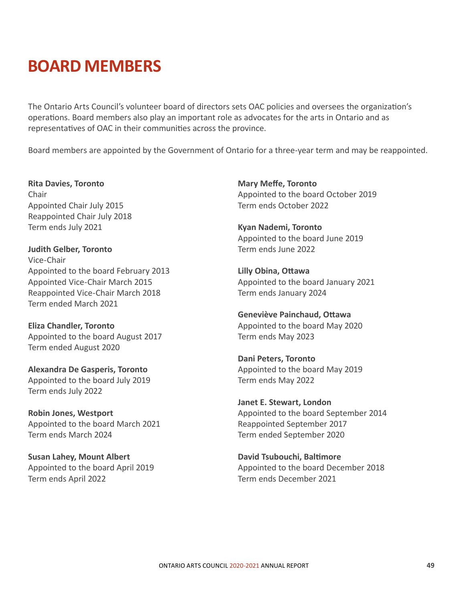# <span id="page-48-0"></span>**BOARD MEMBERS**

The Ontario Arts Council's volunteer board of directors sets OAC policies and oversees the organization's operations. Board members also play an important role as advocates for the arts in Ontario and as representatives of OAC in their communities across the province.

Board members are appointed by the Government of Ontario for a three-year term and may be reappointed.

**Rita Davies, Toronto Chair** Appointed Chair July 2015 Reappointed Chair July 2018 Term ends July 2021

**Judith Gelber, Toronto** Vice-Chair Appointed to the board February 2013 Appointed Vice-Chair March 2015 Reappointed Vice-Chair March 2018 Term ended March 2021

**Eliza Chandler, Toronto** Appointed to the board August 2017 Term ended August 2020

**Alexandra De Gasperis, Toronto** Appointed to the board July 2019 Term ends July 2022

**Robin Jones, Westport** Appointed to the board March 2021 Term ends March 2024

**Susan Lahey, Mount Albert** Appointed to the board April 2019 Term ends April 2022

**Mary Meffe, Toronto** Appointed to the board October 2019 Term ends October 2022

**Kyan Nademi, Toronto** Appointed to the board June 2019 Term ends June 2022

**Lilly Obina, Ottawa**  Appointed to the board January 2021 Term ends January 2024

**Geneviève Painchaud, Ottawa** Appointed to the board May 2020 Term ends May 2023

Dani Peters, Toronto Appointed to the board May 2019 Term ends May 2022

**Janet E. Stewart, London** Appointed to the board September 2014 Reappointed September 2017 Term ended September 2020

**David Tsubouchi, Baltimore** Appointed to the board December 2018 Term ends December 2021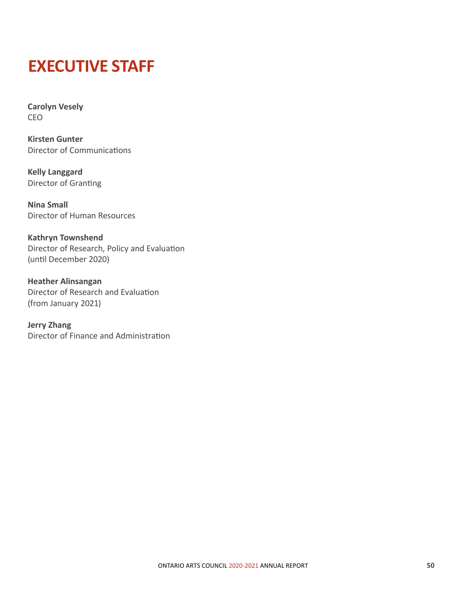# <span id="page-49-0"></span>**EXECUTIVE STAFF**

**Carolyn Vesely** CEO

**Kirsten Gunter** Director of Communications

**Kelly Langgard** Director of Granting

**Nina Small** Director of Human Resources

**Kathryn Townshend** Director of Research, Policy and Evaluation (until December 2020)

**Heather Alinsangan** Director of Research and Evaluation (from January 2021)

**Jerry Zhang** Director of Finance and Administration